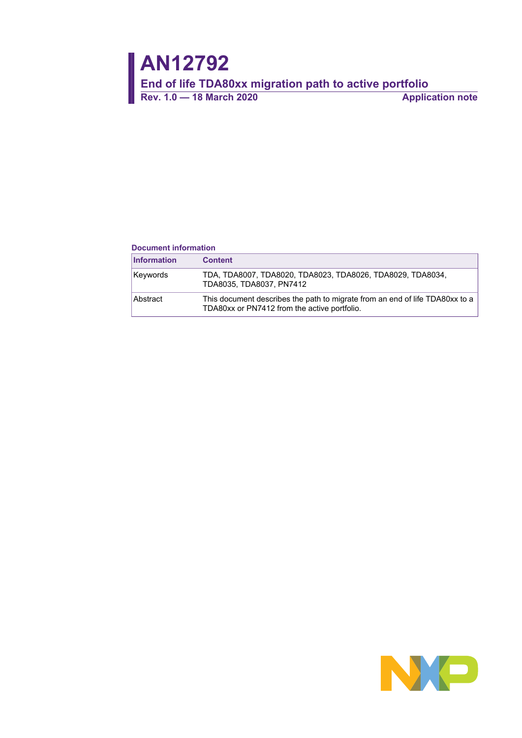#### **Document information**

| <b>Information</b> | <b>Content</b>                                                                                                               |
|--------------------|------------------------------------------------------------------------------------------------------------------------------|
| Keywords           | TDA, TDA8007, TDA8020, TDA8023, TDA8026, TDA8029, TDA8034,<br>TDA8035. TDA8037. PN7412                                       |
| Abstract           | This document describes the path to migrate from an end of life TDA80xx to a<br>TDA80xx or PN7412 from the active portfolio. |

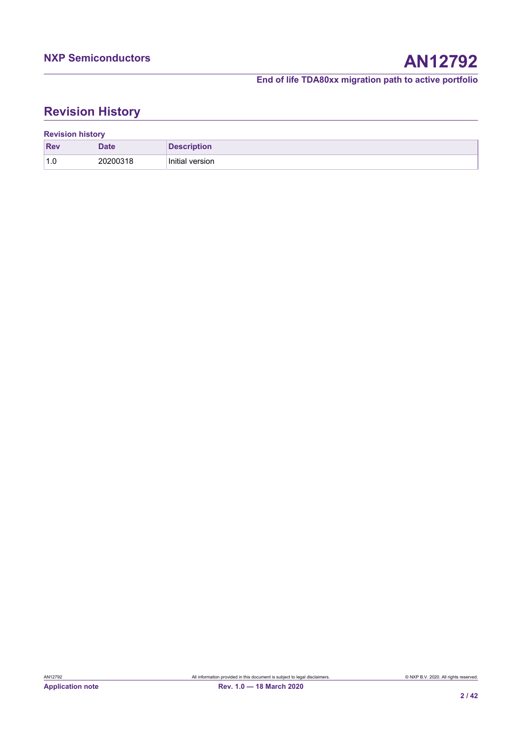# **Revision History**

| <b>Revision history</b> |             |                    |  |  |  |
|-------------------------|-------------|--------------------|--|--|--|
| <b>Rev</b>              | <b>Date</b> | <b>Description</b> |  |  |  |
| 1.0                     | 20200318    | Initial version    |  |  |  |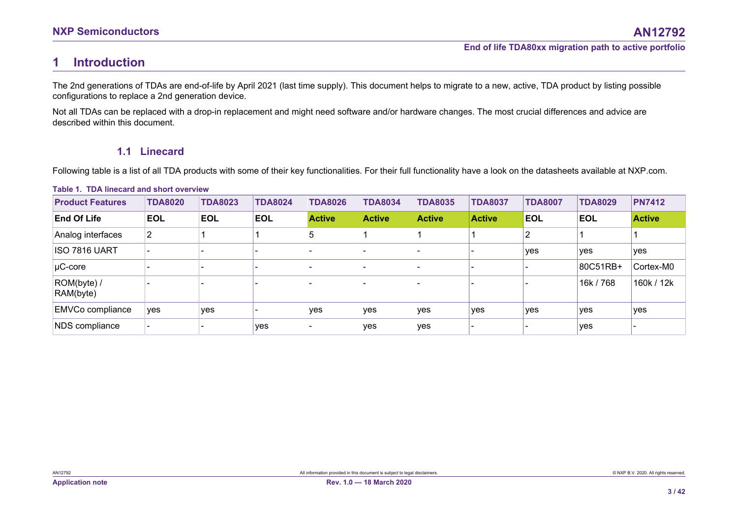# **1 Introduction**

The 2nd generations of TDAs are end-of-life by April 2021 (last time supply). This document helps to migrate to a new, active, TDA product by listing possible configurations to replace a 2nd generation device.

Not all TDAs can be replaced with a drop-in replacement and might need software and/or hardware changes. The most crucial differences and advice are described within this document.

# **1.1 Linecard**

Following table is a list of all TDA products with some of their key functionalities. For their full functionality have a look on the datasheets available at NXP.com.

<span id="page-2-2"></span><span id="page-2-1"></span><span id="page-2-0"></span>

| <b>Product Features</b>  | <b>TDA8020</b> | <b>TDA8023</b> | <b>TDA8024</b> | <b>TDA8026</b> | <b>TDA8034</b> | <b>TDA8035</b> | <b>TDA8037</b> | <b>TDA8007</b> | <b>TDA8029</b> | <b>PN7412</b> |
|--------------------------|----------------|----------------|----------------|----------------|----------------|----------------|----------------|----------------|----------------|---------------|
| <b>End Of Life</b>       | <b>EOL</b>     | <b>EOL</b>     | <b>EOL</b>     | <b>Active</b>  | <b>Active</b>  | <b>Active</b>  | <b>Active</b>  | <b>EOL</b>     | <b>EOL</b>     | <b>Active</b> |
| Analog interfaces        | $\overline{2}$ |                |                | 5              |                |                |                | ◠              |                |               |
| ISO 7816 UART            |                |                |                |                |                |                |                | yes            | yes            | yes           |
| $\mu$ C-core             |                |                |                |                |                |                |                |                | 80C51RB+       | Cortex-M0     |
| ROM(byte) /<br>RAM(byte) |                |                |                |                |                |                |                |                | 16k / 768      | 160k / 12k    |
| <b>EMVCo compliance</b>  | yes            | yes            |                | <b>ves</b>     | yes            | yes            | yes            | yes            | yes            | yes           |
| NDS compliance           |                |                | yes            |                | yes            | yes            |                |                | yes            |               |

#### **Table 1. TDA linecard and short overview**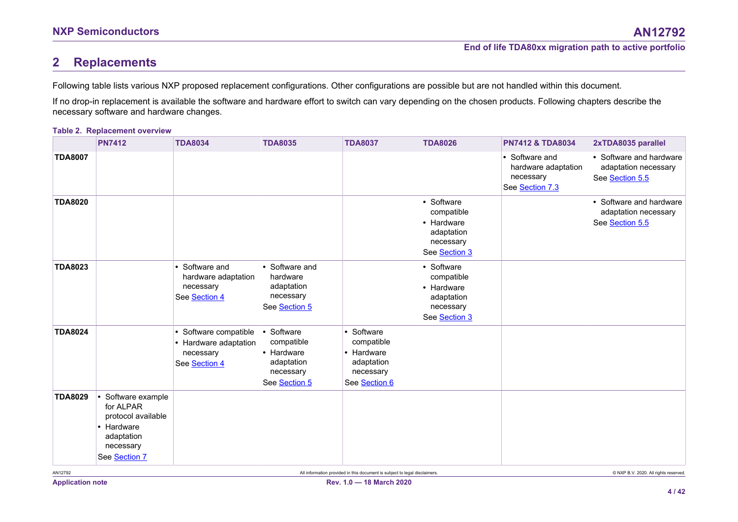# **2 Replacements**

Following table lists various NXP proposed replacement configurations. Other configurations are possible but are not handled within this document.

If no drop-in replacement is available the software and hardware effort to switch can vary depending on the chosen products. Following chapters describe the necessary software and hardware changes.

### **Table 2. Replacement overview**

<span id="page-3-1"></span><span id="page-3-0"></span>

|                | <b>PN7412</b>                                                                                                   | <b>TDA8034</b>                                                               | <b>TDA8035</b>                                                                     | <b>TDA8037</b>                                                                     | <b>TDA8026</b>                                                                     | <b>PN7412 &amp; TDA8034</b>                                           | 2xTDA8035 parallel                                                 |
|----------------|-----------------------------------------------------------------------------------------------------------------|------------------------------------------------------------------------------|------------------------------------------------------------------------------------|------------------------------------------------------------------------------------|------------------------------------------------------------------------------------|-----------------------------------------------------------------------|--------------------------------------------------------------------|
| <b>TDA8007</b> |                                                                                                                 |                                                                              |                                                                                    |                                                                                    |                                                                                    | • Software and<br>hardware adaptation<br>necessary<br>See Section 7.3 | • Software and hardware<br>adaptation necessary<br>See Section 5.5 |
| <b>TDA8020</b> |                                                                                                                 |                                                                              |                                                                                    |                                                                                    | • Software<br>compatible<br>• Hardware<br>adaptation<br>necessary<br>See Section 3 |                                                                       | • Software and hardware<br>adaptation necessary<br>See Section 5.5 |
| <b>TDA8023</b> |                                                                                                                 | • Software and<br>hardware adaptation<br>necessary<br>See Section 4          | • Software and<br>hardware<br>adaptation<br>necessary<br>See Section 5             |                                                                                    | • Software<br>compatible<br>• Hardware<br>adaptation<br>necessary<br>See Section 3 |                                                                       |                                                                    |
| <b>TDA8024</b> |                                                                                                                 | • Software compatible<br>• Hardware adaptation<br>necessary<br>See Section 4 | • Software<br>compatible<br>• Hardware<br>adaptation<br>necessary<br>See Section 5 | • Software<br>compatible<br>• Hardware<br>adaptation<br>necessary<br>See Section 6 |                                                                                    |                                                                       |                                                                    |
| <b>TDA8029</b> | • Software example<br>for ALPAR<br>protocol available<br>• Hardware<br>adaptation<br>necessary<br>See Section 7 |                                                                              |                                                                                    |                                                                                    |                                                                                    |                                                                       |                                                                    |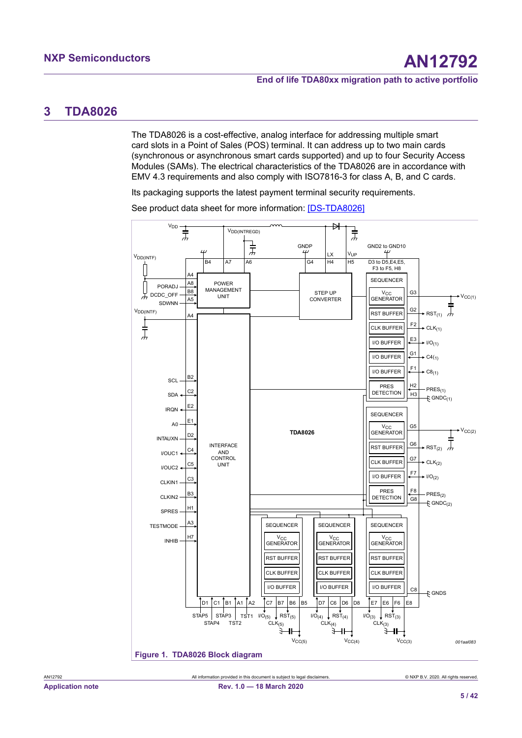# <span id="page-4-2"></span><span id="page-4-0"></span>**3 TDA8026**

The TDA8026 is a cost-effective, analog interface for addressing multiple smart card slots in a Point of Sales (POS) terminal. It can address up to two main cards (synchronous or asynchronous smart cards supported) and up to four Security Access Modules (SAMs). The electrical characteristics of the TDA8026 are in accordance with EMV 4.3 requirements and also comply with ISO7816-3 for class A, B, and C cards.

Its packaging supports the latest payment terminal security requirements.

<span id="page-4-1"></span>

See product data sheet for more information: [\[DS-TDA8026\]](#page-36-0)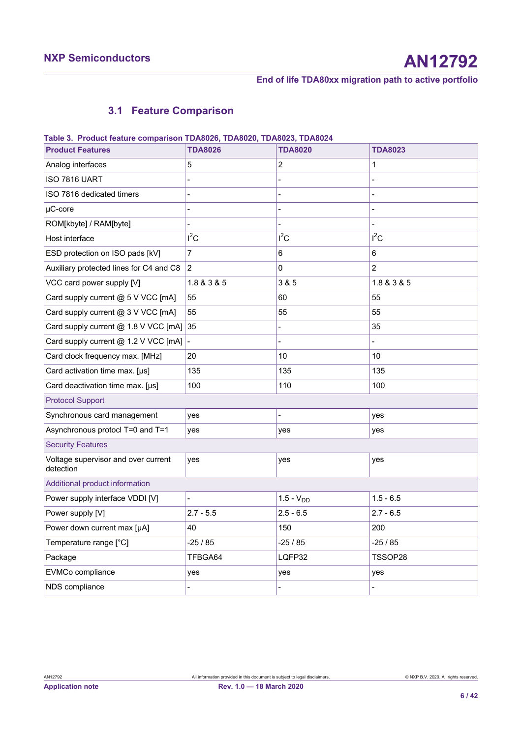# <span id="page-5-1"></span><span id="page-5-0"></span>**3.1 Feature Comparison**

| Table 5. Product leature comparison TDA0020, TDA0020, TDA0025, TDA0024 |                |                  |                |
|------------------------------------------------------------------------|----------------|------------------|----------------|
| <b>Product Features</b>                                                | <b>TDA8026</b> | <b>TDA8020</b>   | <b>TDA8023</b> |
| Analog interfaces                                                      | 5              | $\boldsymbol{2}$ | 1              |
| ISO 7816 UART                                                          |                |                  |                |
| ISO 7816 dedicated timers                                              |                |                  |                |
| $\mu$ C-core                                                           |                |                  |                |
| ROM[kbyte] / RAM[byte]                                                 |                |                  |                |
| Host interface                                                         | $I^2C$         | $I^2C$           | $I^2C$         |
| ESD protection on ISO pads [kV]                                        | $\overline{7}$ | 6                | 6              |
| Auxiliary protected lines for C4 and C8                                | 2              | 0                | $\overline{2}$ |
| VCC card power supply [V]                                              | 1.8 & 3 & 5    | 3 & 5            | 1.8 & 3 & 5    |
| Card supply current @ 5 V VCC [mA]                                     | 55             | 60               | 55             |
| Card supply current @ 3 V VCC [mA]                                     | 55             | 55               | 55             |
| Card supply current @ 1.8 V VCC [mA]                                   | 35             |                  | 35             |
| Card supply current @ 1.2 V VCC [mA]                                   |                |                  |                |
| Card clock frequency max. [MHz]                                        | 20             | 10               | 10             |
| Card activation time max. [µs]                                         | 135            | 135              | 135            |
| Card deactivation time max. [µs]                                       | 100            | 110              | 100            |
| <b>Protocol Support</b>                                                |                |                  |                |
| Synchronous card management                                            | yes            |                  | yes            |
| Asynchronous protocl T=0 and T=1                                       | yes            | yes              | yes            |
| <b>Security Features</b>                                               |                |                  |                |
| Voltage supervisor and over current<br>detection                       | ves            | yes              | yes            |
| Additional product information                                         |                |                  |                |
| Power supply interface VDDI [V]                                        |                | $1.5 - VDD$      | $1.5 - 6.5$    |
| Power supply [V]                                                       | $2.7 - 5.5$    | $2.5 - 6.5$      | $2.7 - 6.5$    |
| Power down current max [µA]                                            | 40             | 150              | 200            |
| Temperature range [°C]                                                 | $-25/85$       | $-25/85$         | $-25/85$       |
| Package                                                                | TFBGA64        | LQFP32           | TSSOP28        |
| EVMCo compliance                                                       | yes            | yes              | yes            |
| NDS compliance                                                         |                |                  |                |

## **Table 3. Product feature comparison TDA8026, TDA8020, TDA8023, TDA8024**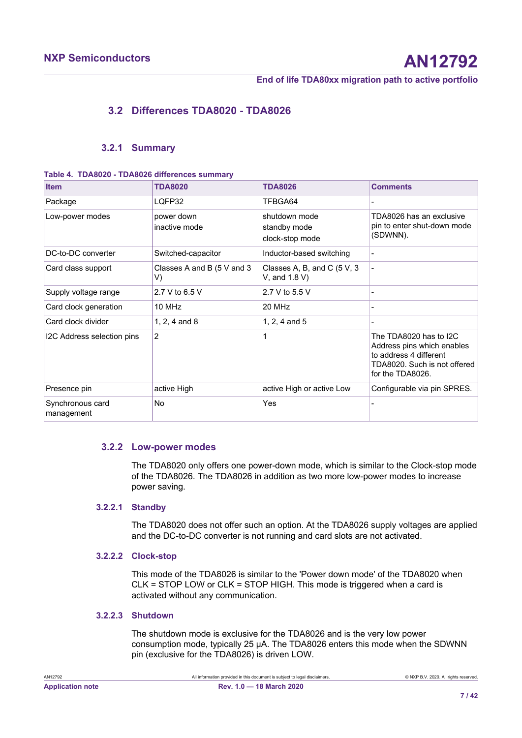# <span id="page-6-1"></span>**3.2 Differences TDA8020 - TDA8026**

## <span id="page-6-2"></span><span id="page-6-0"></span>**3.2.1 Summary**

**Table 4. TDA8020 - TDA8026 differences summary**

| <b>Item</b>                    | <b>TDA8020</b>                   | <b>TDA8026</b>                                   | <b>Comments</b>                                                                                                                    |
|--------------------------------|----------------------------------|--------------------------------------------------|------------------------------------------------------------------------------------------------------------------------------------|
| Package                        | LQFP32                           | TFBGA64                                          |                                                                                                                                    |
| Low-power modes                | power down<br>inactive mode      | shutdown mode<br>standby mode<br>clock-stop mode | TDA8026 has an exclusive<br>pin to enter shut-down mode<br>(SDWNN).                                                                |
| DC-to-DC converter             | Switched-capacitor               | Inductor-based switching                         |                                                                                                                                    |
| Card class support             | Classes A and B (5 V and 3<br>V) | Classes A, B, and C $(5 V, 3$<br>V, and 1.8 V)   |                                                                                                                                    |
| Supply voltage range           | 2.7 V to 6.5 V                   | 2.7 V to 5.5 V                                   |                                                                                                                                    |
| Card clock generation          | 10 MHz                           | 20 MHz                                           |                                                                                                                                    |
| Card clock divider             | 1, 2, 4 and $8$                  | 1, 2, 4 and $5$                                  |                                                                                                                                    |
| I2C Address selection pins     | 2                                | 1                                                | The TDA8020 has to I2C<br>Address pins which enables<br>to address 4 different<br>TDA8020. Such is not offered<br>for the TDA8026. |
| Presence pin                   | active High                      | active High or active Low                        | Configurable via pin SPRES.                                                                                                        |
| Synchronous card<br>management | No                               | Yes                                              |                                                                                                                                    |

### **3.2.2 Low-power modes**

<span id="page-6-3"></span>The TDA8020 only offers one power-down mode, which is similar to the Clock-stop mode of the TDA8026. The TDA8026 in addition as two more low-power modes to increase power saving.

# **3.2.2.1 Standby**

<span id="page-6-4"></span>The TDA8020 does not offer such an option. At the TDA8026 supply voltages are applied and the DC-to-DC converter is not running and card slots are not activated.

# **3.2.2.2 Clock-stop**

<span id="page-6-5"></span>This mode of the TDA8026 is similar to the 'Power down mode' of the TDA8020 when CLK = STOP LOW or CLK = STOP HIGH. This mode is triggered when a card is activated without any communication.

### **3.2.2.3 Shutdown**

<span id="page-6-6"></span>The shutdown mode is exclusive for the TDA8026 and is the very low power consumption mode, typically 25 µA. The TDA8026 enters this mode when the SDWNN pin (exclusive for the TDA8026) is driven LOW.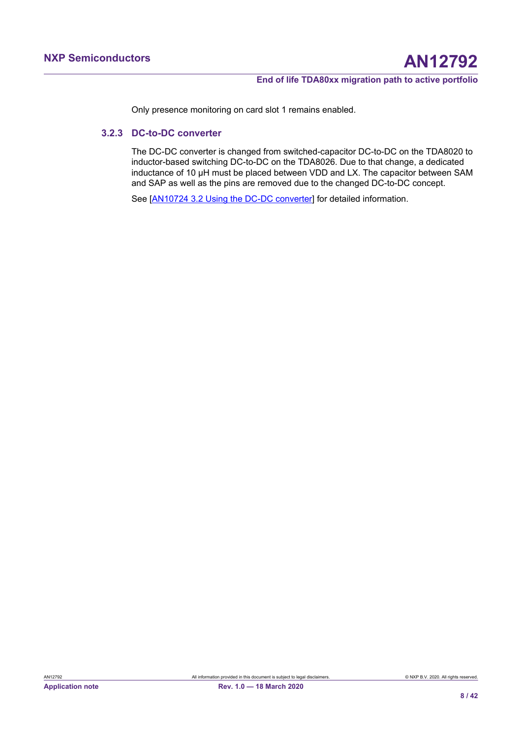<span id="page-7-0"></span>Only presence monitoring on card slot 1 remains enabled.

## **3.2.3 DC-to-DC converter**

The DC-DC converter is changed from switched-capacitor DC-to-DC on the TDA8020 to inductor-based switching DC-to-DC on the TDA8026. Due to that change, a dedicated inductance of 10 µH must be placed between VDD and LX. The capacitor between SAM and SAP as well as the pins are removed due to the changed DC-to-DC concept.

See [\[AN10724 3.2 Using the DC-DC converter](#page-36-1)] for detailed information.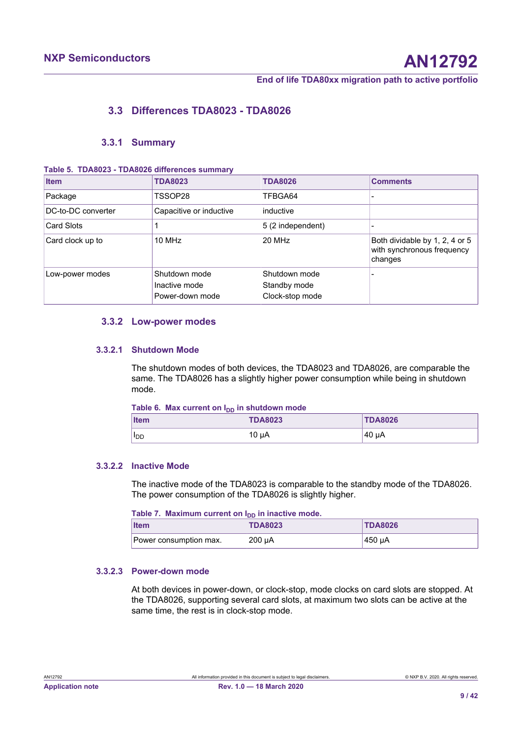# <span id="page-8-3"></span>**3.3 Differences TDA8023 - TDA8026**

### <span id="page-8-4"></span><span id="page-8-0"></span>**3.3.1 Summary**

#### **Table 5. TDA8023 - TDA8026 differences summary**

| <b>Item</b>        | <b>TDA8023</b>                                    | <b>TDA8026</b>                                   | <b>Comments</b>                                                         |
|--------------------|---------------------------------------------------|--------------------------------------------------|-------------------------------------------------------------------------|
| Package            | TSSOP28                                           | TFBGA64                                          |                                                                         |
| DC-to-DC converter | Capacitive or inductive                           | inductive                                        |                                                                         |
| Card Slots         |                                                   | 5 (2 independent)                                |                                                                         |
| Card clock up to   | 10 MHz                                            | 20 MHz                                           | Both dividable by 1, 2, 4 or 5<br>with synchronous frequency<br>changes |
| Low-power modes    | Shutdown mode<br>Inactive mode<br>Power-down mode | Shutdown mode<br>Standby mode<br>Clock-stop mode |                                                                         |

## <span id="page-8-5"></span>**3.3.2 Low-power modes**

### **3.3.2.1 Shutdown Mode**

<span id="page-8-6"></span>The shutdown modes of both devices, the TDA8023 and TDA8026, are comparable the same. The TDA8026 has a slightly higher power consumption while being in shutdown mode.

#### <span id="page-8-1"></span>Table 6. Max current on I<sub>DD</sub> in shutdown mode

| <b>Item</b> | <b>TDA8023</b> | <b>TDA8026</b> |
|-------------|----------------|----------------|
| <b>IDD</b>  | 10 uA          | $40 \mu$ A     |

#### **3.3.2.2 Inactive Mode**

<span id="page-8-7"></span>The inactive mode of the TDA8023 is comparable to the standby mode of the TDA8026. The power consumption of the TDA8026 is slightly higher.

<span id="page-8-2"></span>Table 7. Maximum current on I<sub>DD</sub> in inactive mode.

| <b>Item</b>            | <b>TDA8023</b> | <b>TDA8026</b> |
|------------------------|----------------|----------------|
| Power consumption max. | 200 uA         | 450 uA         |

### **3.3.2.3 Power-down mode**

<span id="page-8-8"></span>At both devices in power-down, or clock-stop, mode clocks on card slots are stopped. At the TDA8026, supporting several card slots, at maximum two slots can be active at the same time, the rest is in clock-stop mode.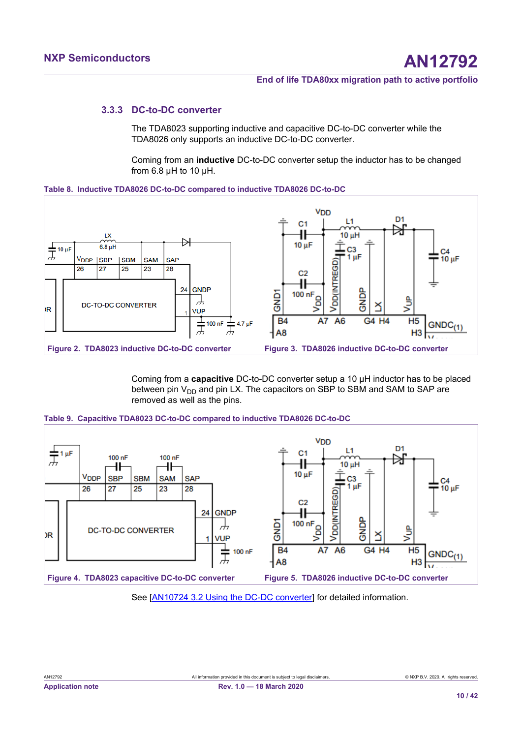## **3.3.3 DC-to-DC converter**

<span id="page-9-6"></span>The TDA8023 supporting inductive and capacitive DC-to-DC converter while the TDA8026 only supports an inductive DC-to-DC converter.

<span id="page-9-3"></span><span id="page-9-0"></span>Coming from an **inductive** DC-to-DC converter setup the inductor has to be changed from 6.8 µH to 10 µH.



<span id="page-9-2"></span>

<span id="page-9-5"></span><span id="page-9-1"></span>Coming from a **capacitive** DC-to-DC converter setup a 10 µH inductor has to be placed between pin  $V_{DD}$  and pin LX. The capacitors on SBP to SBM and SAM to SAP are removed as well as the pins.



<span id="page-9-4"></span>

See [\[AN10724 3.2 Using the DC-DC converter](#page-36-1)] for detailed information.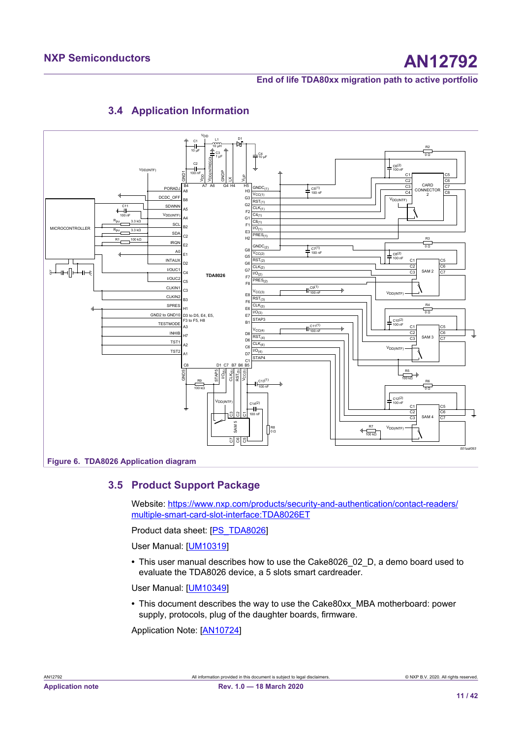

# <span id="page-10-1"></span><span id="page-10-0"></span>**3.4 Application Information**

# **3.5 Product Support Package**

<span id="page-10-2"></span>Website: [https://www.nxp.com/products/security-and-authentication/contact-readers/](https://www.nxp.com/products/security-and-authentication/contact-readers/multiple-smart-card-slot-interface:TDA8026ET) [multiple-smart-card-slot-interface:TDA8026ET](https://www.nxp.com/products/security-and-authentication/contact-readers/multiple-smart-card-slot-interface:TDA8026ET)

Product data sheet: [\[PS\\_TDA8026](#page-36-0)]

User Manual: [[UM10319](#page-36-2)]

**•** This user manual describes how to use the Cake8026\_02\_D, a demo board used to evaluate the TDA8026 device, a 5 slots smart cardreader.

User Manual: [[UM10349](#page-36-3)]

**•** This document describes the way to use the Cake80xx\_MBA motherboard: power supply, protocols, plug of the daughter boards, firmware.

Application Note: [\[AN10724\]](#page-36-1)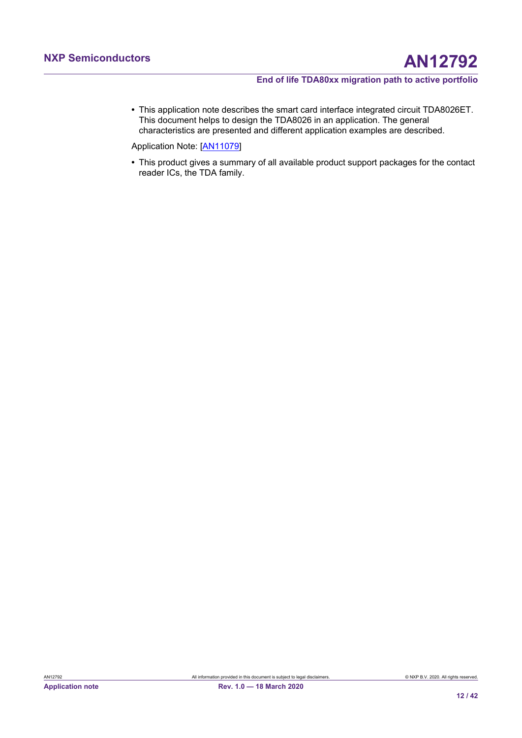**•** This application note describes the smart card interface integrated circuit TDA8026ET. This document helps to design the TDA8026 in an application. The general characteristics are presented and different application examples are described.

Application Note: [\[AN11079\]](#page-36-4)

**•** This product gives a summary of all available product support packages for the contact reader ICs, the TDA family.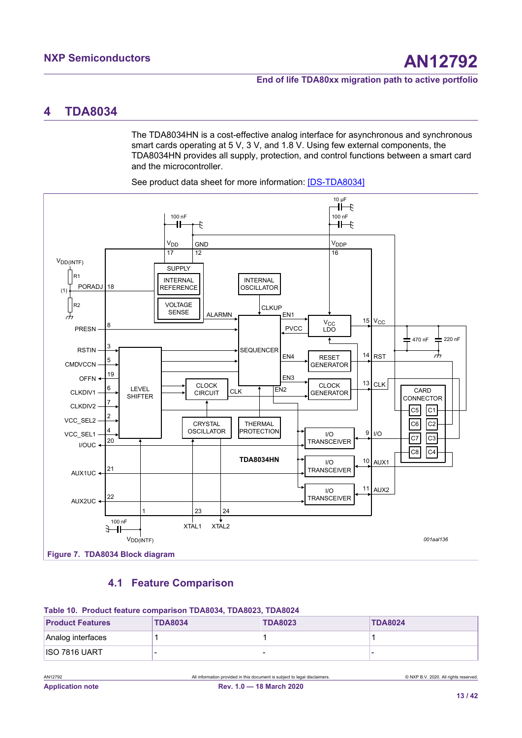# <span id="page-12-3"></span><span id="page-12-0"></span>**4 TDA8034**

The TDA8034HN is a cost-effective analog interface for asynchronous and synchronous smart cards operating at 5 V, 3 V, and 1.8 V. Using few external components, the TDA8034HN provides all supply, protection, and control functions between a smart card and the microcontroller.



<span id="page-12-2"></span>See product data sheet for more information: [\[DS-TDA8034\]](#page-36-5)

# <span id="page-12-4"></span><span id="page-12-1"></span>**4.1 Feature Comparison**

#### **Table 10. Product feature comparison TDA8034, TDA8023, TDA8024**

| <b>Product Features</b> | <b>TDA8034</b> | <b>TDA8023</b> | <b>TDA8024</b> |
|-------------------------|----------------|----------------|----------------|
| Analog interfaces       |                |                |                |
| <b>ISO 7816 UART</b>    |                |                |                |

AN12792 All information provided in this document is subject to legal disclaimers. © NXP B.V. 2020. All rights reserved.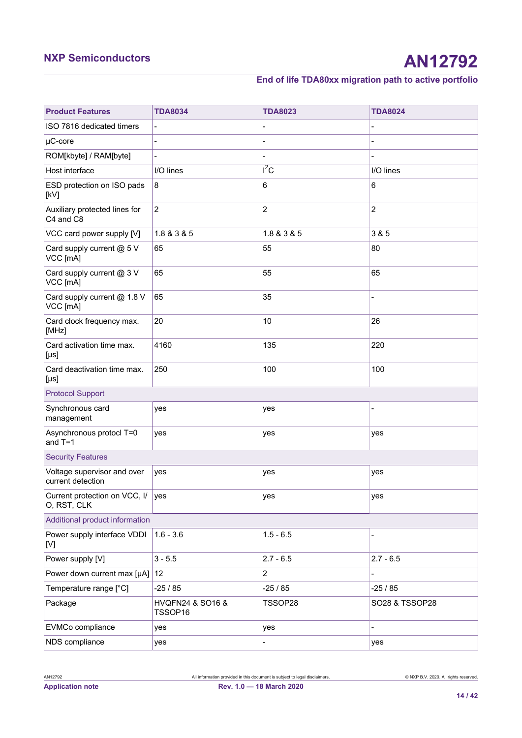# **NXP Semiconductors AN12792**

# **End of life TDA80xx migration path to active portfolio**

| <b>Product Features</b>                                | <b>TDA8034</b>              | <b>TDA8023</b> | <b>TDA8024</b>           |
|--------------------------------------------------------|-----------------------------|----------------|--------------------------|
| ISO 7816 dedicated timers                              | $\overline{\phantom{a}}$    |                |                          |
| $\mu$ C-core                                           |                             |                |                          |
| ROM[kbyte] / RAM[byte]                                 |                             |                |                          |
| Host interface                                         | I/O lines                   | $I^2C$         | I/O lines                |
| ESD protection on ISO pads<br>[kV]                     | 8                           | 6              | 6                        |
| Auxiliary protected lines for<br>C4 and C8             | $\overline{c}$              | $\overline{c}$ | $\overline{c}$           |
| VCC card power supply [V]                              | 1.8 & 3 & 5                 | 1.8 & 3 & 5    | 3 & 5                    |
| Card supply current @ 5 V<br>VCC [mA]                  | 65                          | 55             | 80                       |
| Card supply current @ 3 V<br>VCC [mA]                  | 65                          | 55             | 65                       |
| Card supply current @ 1.8 V<br>VCC [mA]                | 65                          | 35             |                          |
| Card clock frequency max.<br>[MHz]                     | 20                          | 10             | 26                       |
| Card activation time max.<br>$[\mu s]$                 | 4160                        | 135            | 220                      |
| Card deactivation time max.<br>$\lfloor \mu s \rfloor$ | 250                         | 100            | 100                      |
| <b>Protocol Support</b>                                |                             |                |                          |
| Synchronous card<br>management                         | yes                         | yes            |                          |
| Asynchronous protocl T=0<br>and $T=1$                  | yes                         | yes            | yes                      |
| <b>Security Features</b>                               |                             |                |                          |
| Voltage supervisor and over<br>current detection       | yes                         | yes            | yes                      |
| Current protection on VCC, I/ yes<br>O, RST, CLK       |                             | yes            | yes                      |
| Additional product information                         |                             |                |                          |
| Power supply interface VDDI<br>[V]                     | $1.6 - 3.6$                 | $1.5 - 6.5$    |                          |
| Power supply [V]                                       | $3 - 5.5$                   | $2.7 - 6.5$    | $2.7 - 6.5$              |
| Power down current max [µA]                            | 12                          | $\overline{2}$ | $\overline{\phantom{a}}$ |
| Temperature range [°C]                                 | $-25/85$                    | $-25/85$       | $-25/85$                 |
| Package                                                | HVQFN24 & SO16 &<br>TSSOP16 | TSSOP28        | SO28 & TSSOP28           |
| EVMCo compliance                                       | yes                         | yes            |                          |
| NDS compliance                                         | yes                         |                | yes                      |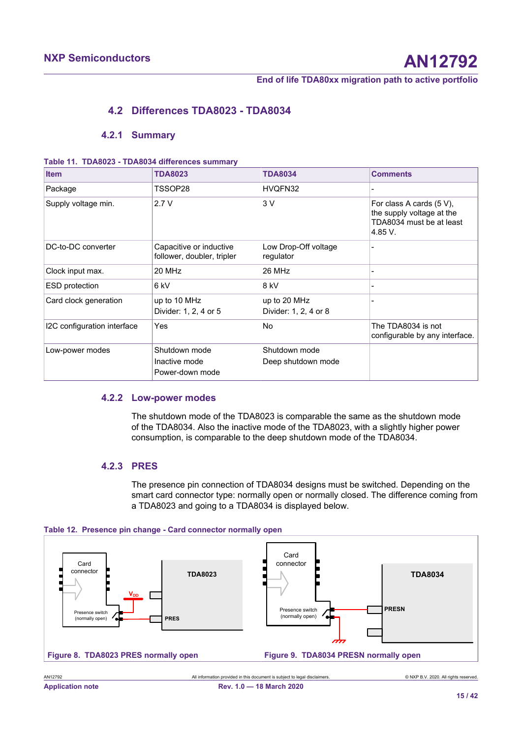# <span id="page-14-4"></span>**4.2 Differences TDA8023 - TDA8034**

### <span id="page-14-5"></span><span id="page-14-0"></span>**4.2.1 Summary**

#### **Table 11. TDA8023 - TDA8034 differences summary**

| <b>Item</b>                 | <b>TDA8023</b>                                        | <b>TDA8034</b>                        | <b>Comments</b>                                                                              |
|-----------------------------|-------------------------------------------------------|---------------------------------------|----------------------------------------------------------------------------------------------|
| Package                     | TSSOP28                                               | HVQFN32                               |                                                                                              |
| Supply voltage min.         | 2.7V                                                  | 3V                                    | For class A cards (5 V),<br>the supply voltage at the<br>TDA8034 must be at least<br>4.85 V. |
| DC-to-DC converter          | Capacitive or inductive<br>follower, doubler, tripler | Low Drop-Off voltage<br>regulator     |                                                                                              |
| Clock input max.            | 20 MHz                                                | 26 MHz                                | ۰                                                                                            |
| <b>ESD</b> protection       | 6 kV                                                  | 8 kV                                  |                                                                                              |
| Card clock generation       | up to 10 MHz<br>Divider: 1, 2, 4 or 5                 | up to 20 MHz<br>Divider: 1, 2, 4 or 8 |                                                                                              |
| I2C configuration interface | Yes                                                   | No                                    | The TDA8034 is not<br>configurable by any interface.                                         |
| Low-power modes             | Shutdown mode<br>Inactive mode<br>Power-down mode     | Shutdown mode<br>Deep shutdown mode   |                                                                                              |

## **4.2.2 Low-power modes**

<span id="page-14-6"></span>The shutdown mode of the TDA8023 is comparable the same as the shutdown mode of the TDA8034. Also the inactive mode of the TDA8023, with a slightly higher power consumption, is comparable to the deep shutdown mode of the TDA8034.

# **4.2.3 PRES**

<span id="page-14-7"></span><span id="page-14-3"></span><span id="page-14-1"></span>The presence pin connection of TDA8034 designs must be switched. Depending on the smart card connector type: normally open or normally closed. The difference coming from a TDA8023 and going to a TDA8034 is displayed below.



<span id="page-14-2"></span>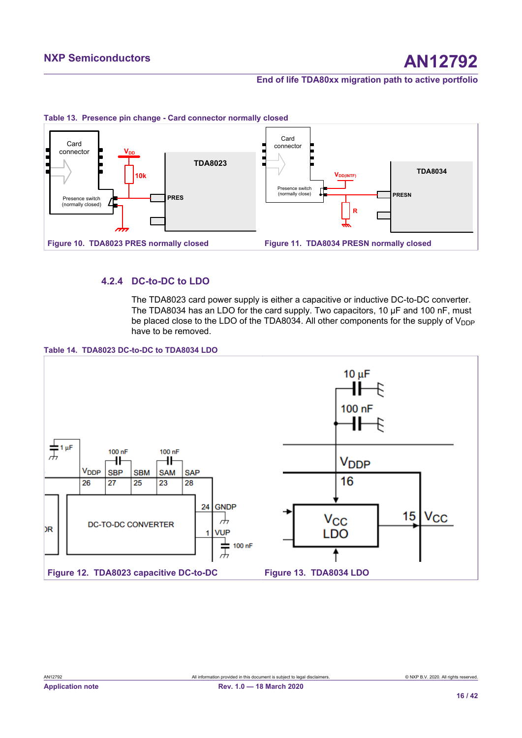<span id="page-15-2"></span><span id="page-15-0"></span>



# **4.2.4 DC-to-DC to LDO**

<span id="page-15-6"></span><span id="page-15-5"></span><span id="page-15-3"></span><span id="page-15-1"></span>The TDA8023 card power supply is either a capacitive or inductive DC-to-DC converter. The TDA8034 has an LDO for the card supply. Two capacitors, 10 µF and 100 nF, must be placed close to the LDO of the TDA8034. All other components for the supply of  $V_{\text{DDP}}$ have to be removed.



<span id="page-15-4"></span>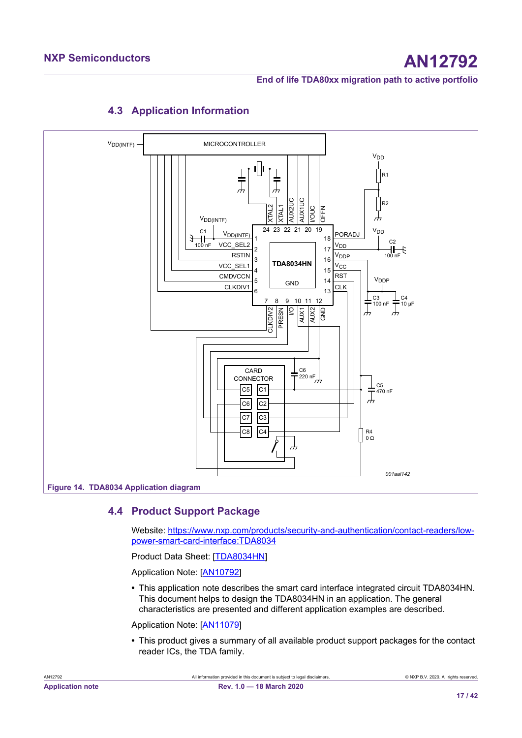

# <span id="page-16-1"></span><span id="page-16-0"></span>**4.3 Application Information**

**4.4 Product Support Package**

<span id="page-16-2"></span>Website: [https://www.nxp.com/products/security-and-authentication/contact-readers/low](https://www.nxp.com/products/security-and-authentication/contact-readers/low-power-smart-card-interface:TDA8034)[power-smart-card-interface:TDA8034](https://www.nxp.com/products/security-and-authentication/contact-readers/low-power-smart-card-interface:TDA8034)

Product Data Sheet: [[TDA8034HN](#page-36-5)]

Application Note: [\[AN10792\]](#page-36-6)

**•** This application note describes the smart card interface integrated circuit TDA8034HN. This document helps to design the TDA8034HN in an application. The general characteristics are presented and different application examples are described.

Application Note: [\[AN11079\]](#page-36-4)

**•** This product gives a summary of all available product support packages for the contact reader ICs, the TDA family.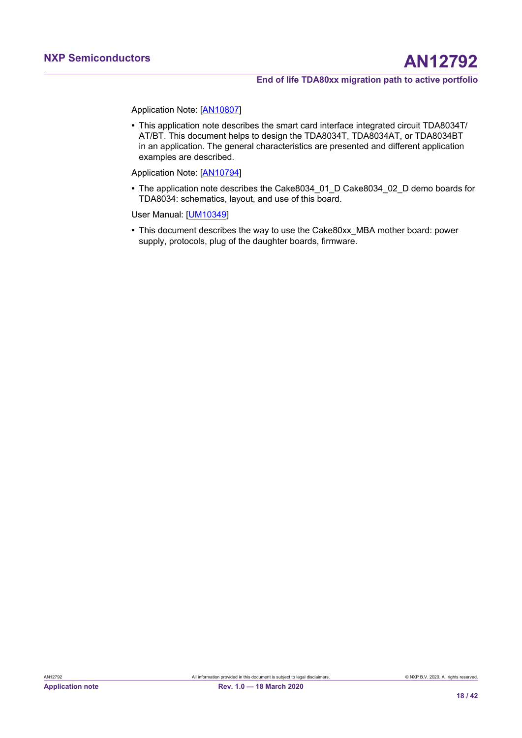Application Note: [\[AN10807\]](#page-36-7)

**•** This application note describes the smart card interface integrated circuit TDA8034T/ AT/BT. This document helps to design the TDA8034T, TDA8034AT, or TDA8034BT in an application. The general characteristics are presented and different application examples are described.

Application Note: [\[AN10794\]](#page-36-8)

**•** The application note describes the Cake8034\_01\_D Cake8034\_02\_D demo boards for TDA8034: schematics, layout, and use of this board.

User Manual: [[UM10349](#page-36-3)]

**•** This document describes the way to use the Cake80xx\_MBA mother board: power supply, protocols, plug of the daughter boards, firmware.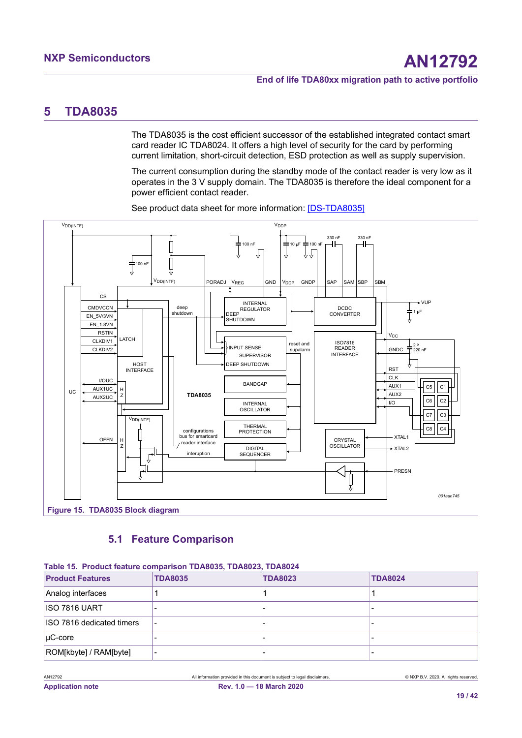# <span id="page-18-3"></span><span id="page-18-0"></span>**5 TDA8035**

The TDA8035 is the cost efficient successor of the established integrated contact smart card reader IC TDA8024. It offers a high level of security for the card by performing current limitation, short-circuit detection, ESD protection as well as supply supervision.

The current consumption during the standby mode of the contact reader is very low as it operates in the 3 V supply domain. The TDA8035 is therefore the ideal component for a power efficient contact reader.



<span id="page-18-2"></span>See product data sheet for more information: [\[DS-TDA8035\]](#page-36-9)

# <span id="page-18-4"></span><span id="page-18-1"></span>**5.1 Feature Comparison**

| Table 15. Product feature comparison TDA8035, TDA8023, TDA8024 |                |                |                |
|----------------------------------------------------------------|----------------|----------------|----------------|
| <b>Product Features</b>                                        | <b>TDA8035</b> | <b>TDA8023</b> | <b>TDA8024</b> |
| Analog interfaces                                              |                |                |                |
| ISO 7816 UART                                                  |                |                |                |
| ISO 7816 dedicated timers                                      |                |                |                |
| $\mu$ C-core                                                   |                |                |                |
| ROM[kbyte] / RAM[byte]                                         |                |                |                |

**Table 15. Product feature comparison TDA8035, TDA8023, TDA8024**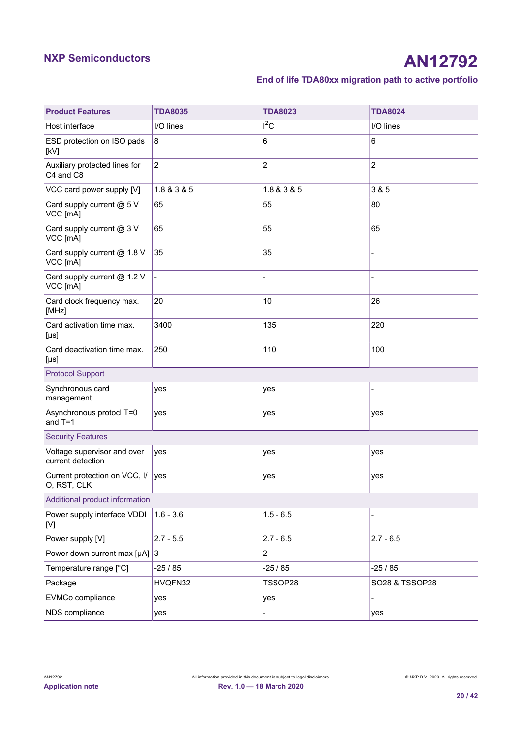# **NXP Semiconductors AN12792**

# **End of life TDA80xx migration path to active portfolio**

| <b>Product Features</b>                          | <b>TDA8035</b>           | <b>TDA8023</b> | <b>TDA8024</b> |
|--------------------------------------------------|--------------------------|----------------|----------------|
| Host interface                                   | I/O lines                | $I^2C$         | I/O lines      |
| ESD protection on ISO pads<br>[kV]               | 8                        | 6              | 6              |
| Auxiliary protected lines for<br>C4 and C8       | $\overline{c}$           | $\overline{c}$ | $\overline{c}$ |
| VCC card power supply [V]                        | 1.8 & 3 & 5              | 1.8 & 3 & 5    | 3 & 5          |
| Card supply current @ 5 V<br>VCC [mA]            | 65                       | 55             | 80             |
| Card supply current @ 3 V<br>VCC [mA]            | 65                       | 55             | 65             |
| Card supply current @ 1.8 V<br>VCC [mA]          | 35                       | 35             |                |
| Card supply current @ 1.2 V<br>VCC [mA]          | $\overline{\phantom{a}}$ |                |                |
| Card clock frequency max.<br>[MHz]               | 20                       | 10             | 26             |
| Card activation time max.<br>$[\mu s]$           | 3400                     | 135            | 220            |
| Card deactivation time max.<br>$[\mu s]$         | 250                      | 110            | 100            |
| <b>Protocol Support</b>                          |                          |                |                |
| Synchronous card<br>management                   | yes                      | yes            |                |
| Asynchronous protocl T=0<br>and $T=1$            | yes                      | yes            | yes            |
| <b>Security Features</b>                         |                          |                |                |
| Voltage supervisor and over<br>current detection | yes                      | yes            | yes            |
| Current protection on VCC, I/<br>O, RST, CLK     | yes                      | yes            | yes            |
| Additional product information                   |                          |                |                |
| Power supply interface VDDI<br>[V]               | $1.6 - 3.6$              | $1.5 - 6.5$    |                |
| Power supply [V]                                 | $2.7 - 5.5$              | $2.7 - 6.5$    | $2.7 - 6.5$    |
| Power down current max [ $\mu$ A] 3              |                          | $\overline{a}$ |                |
| Temperature range [°C]                           | $-25/85$                 | $-25/85$       | $-25/85$       |
| Package                                          | HVQFN32                  | TSSOP28        | SO28 & TSSOP28 |
| EVMCo compliance                                 | yes                      | yes            |                |
| NDS compliance                                   | yes                      |                | yes            |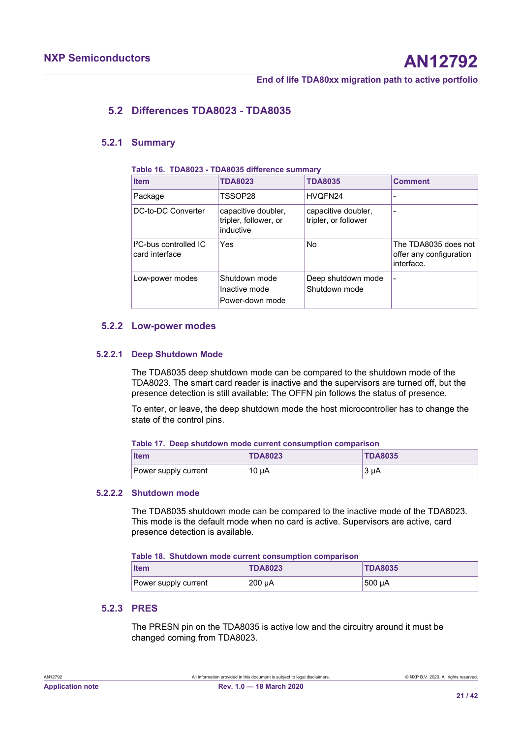# <span id="page-20-3"></span>**5.2 Differences TDA8023 - TDA8035**

<span id="page-20-4"></span><span id="page-20-0"></span>**Table 16. TDA8023 - TDA8035 difference summary**

### **5.2.1 Summary**

| <b>Item</b>                                | <b>TDA8023</b>                                            | <b>TDA8035</b>                              | <b>Comment</b>                                                |
|--------------------------------------------|-----------------------------------------------------------|---------------------------------------------|---------------------------------------------------------------|
| Package                                    | TSSOP28                                                   | HVQFN24                                     |                                                               |
| DC-to-DC Converter                         | capacitive doubler,<br>tripler, follower, or<br>inductive | capacitive doubler,<br>tripler, or follower |                                                               |
| $P$ C-bus controlled $P$<br>card interface | Yes.                                                      | No.                                         | The TDA8035 does not<br>offer any configuration<br>interface. |
| Low-power modes                            | Shutdown mode<br>Inactive mode<br>Power-down mode         | Deep shutdown mode<br>Shutdown mode         |                                                               |

#### <span id="page-20-5"></span>**5.2.2 Low-power modes**

#### **5.2.2.1 Deep Shutdown Mode**

<span id="page-20-6"></span>The TDA8035 deep shutdown mode can be compared to the shutdown mode of the TDA8023. The smart card reader is inactive and the supervisors are turned off, but the presence detection is still available: The OFFN pin follows the status of presence.

To enter, or leave, the deep shutdown mode the host microcontroller has to change the state of the control pins.

<span id="page-20-1"></span>

| Table 17. Deep shutdown mode current consumption comparison |  |  |
|-------------------------------------------------------------|--|--|
|-------------------------------------------------------------|--|--|

| <b>Item</b>          | <b>TDA8023</b> | <b>TDA8035</b> |
|----------------------|----------------|----------------|
| Power supply current | $10 \mu A$     | 3 uA           |

#### **5.2.2.2 Shutdown mode**

<span id="page-20-7"></span>The TDA8035 shutdown mode can be compared to the inactive mode of the TDA8023. This mode is the default mode when no card is active. Supervisors are active, card presence detection is available.

<span id="page-20-2"></span>

|  | Table 18. Shutdown mode current consumption comparison |  |  |  |
|--|--------------------------------------------------------|--|--|--|
|--|--------------------------------------------------------|--|--|--|

| <b>Item</b>          | <b>TDA8023</b> | <b>TDA8035</b> |
|----------------------|----------------|----------------|
| Power supply current | $200 \mu A$    | 500 uA         |

# **5.2.3 PRES**

<span id="page-20-8"></span>The PRESN pin on the TDA8035 is active low and the circuitry around it must be changed coming from TDA8023.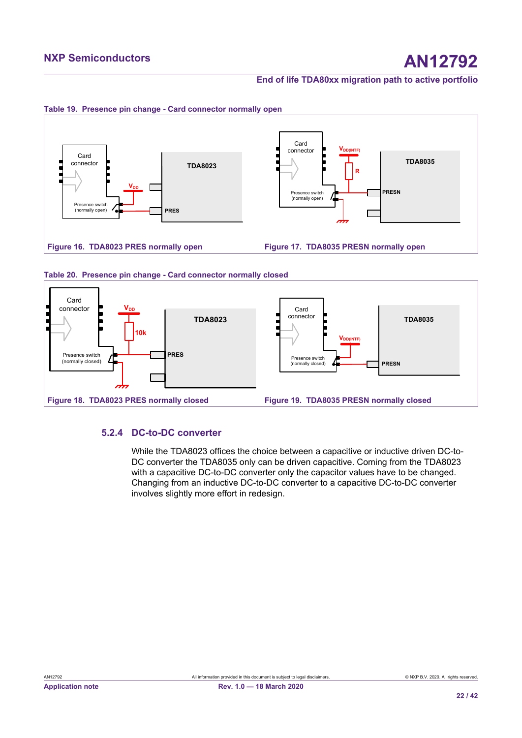<span id="page-21-2"></span>

<span id="page-21-3"></span><span id="page-21-0"></span>

<span id="page-21-4"></span>

#### <span id="page-21-1"></span>**Table 20. Presence pin change - Card connector normally closed**

# **5.2.4 DC-to-DC converter**

<span id="page-21-6"></span><span id="page-21-5"></span>While the TDA8023 offices the choice between a capacitive or inductive driven DC-to-DC converter the TDA8035 only can be driven capacitive. Coming from the TDA8023 with a capacitive DC-to-DC converter only the capacitor values have to be changed. Changing from an inductive DC-to-DC converter to a capacitive DC-to-DC converter involves slightly more effort in redesign.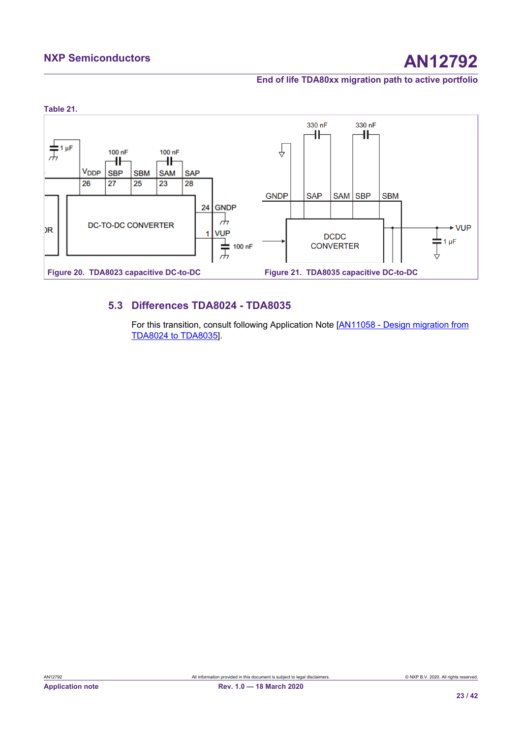# <span id="page-22-0"></span>**NXP Semiconductors AN12792**

<span id="page-22-2"></span>**End of life TDA80xx migration path to active portfolio**

<span id="page-22-1"></span>

# **5.3 Differences TDA8024 - TDA8035**

<span id="page-22-3"></span>For this transition, consult following Application Note [[AN11058 - Design migration from](#page-36-10) [TDA8024 to TDA8035](#page-36-10)].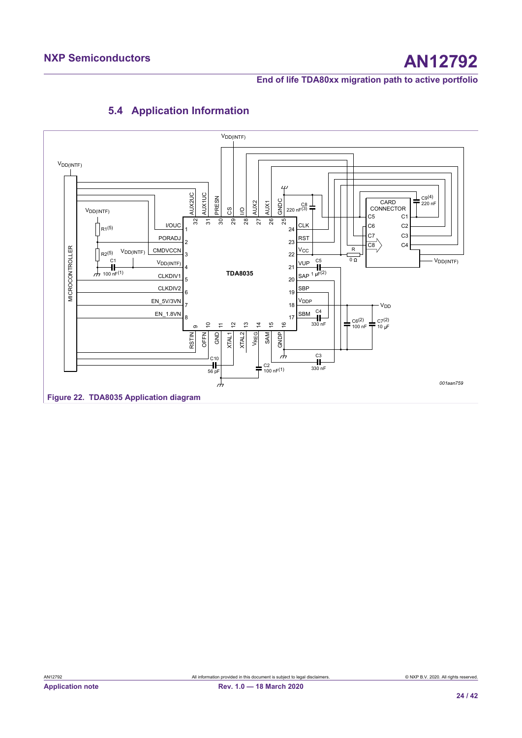

# <span id="page-23-1"></span><span id="page-23-0"></span>**5.4 Application Information**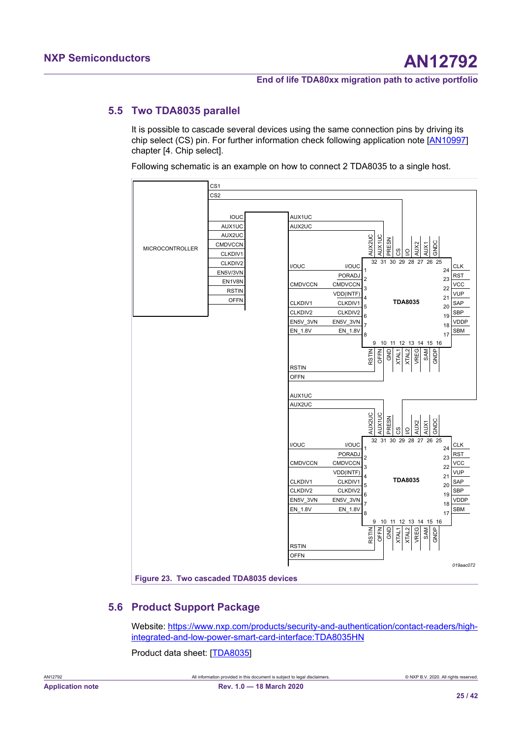# <span id="page-24-0"></span>**5.5 Two TDA8035 parallel**

<span id="page-24-2"></span>It is possible to cascade several devices using the same connection pins by driving its chip select (CS) pin. For further information check following application note [[AN10997\]](#page-36-11) chapter [4. Chip select].

Following schematic is an example on how to connect 2 TDA8035 to a single host.

<span id="page-24-1"></span>

# <span id="page-24-3"></span>**5.6 Product Support Package**

Website: [https://www.nxp.com/products/security-and-authentication/contact-readers/high](https://www.nxp.com/products/security-and-authentication/contact-readers/high-integrated-and-low-power-smart-card-interface:TDA8035HN)[integrated-and-low-power-smart-card-interface:TDA8035HN](https://www.nxp.com/products/security-and-authentication/contact-readers/high-integrated-and-low-power-smart-card-interface:TDA8035HN)

Product data sheet: [\[TDA8035](#page-36-9)]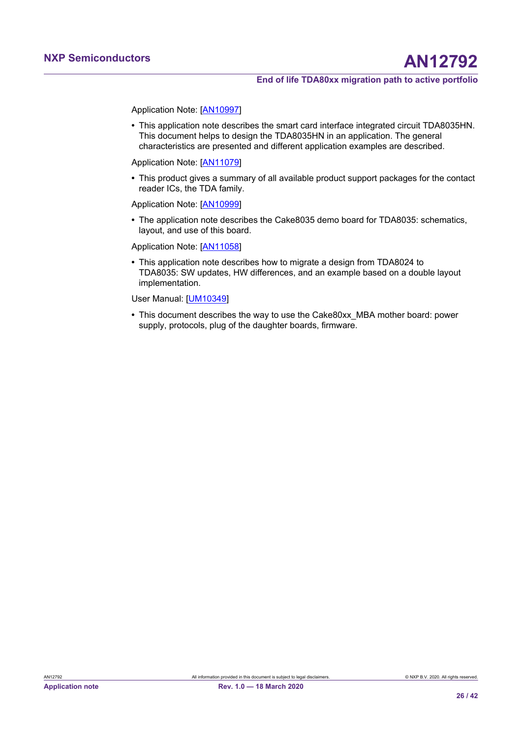Application Note: [\[AN10997\]](#page-36-11)

**•** This application note describes the smart card interface integrated circuit TDA8035HN. This document helps to design the TDA8035HN in an application. The general characteristics are presented and different application examples are described.

Application Note: [\[AN11079\]](#page-36-4)

**•** This product gives a summary of all available product support packages for the contact reader ICs, the TDA family.

Application Note: [\[AN10999\]](#page-36-12)

**•** The application note describes the Cake8035 demo board for TDA8035: schematics, layout, and use of this board.

Application Note: [\[AN11058\]](#page-36-10)

**•** This application note describes how to migrate a design from TDA8024 to TDA8035: SW updates, HW differences, and an example based on a double layout implementation.

User Manual: [[UM10349](#page-36-3)]

**•** This document describes the way to use the Cake80xx\_MBA mother board: power supply, protocols, plug of the daughter boards, firmware.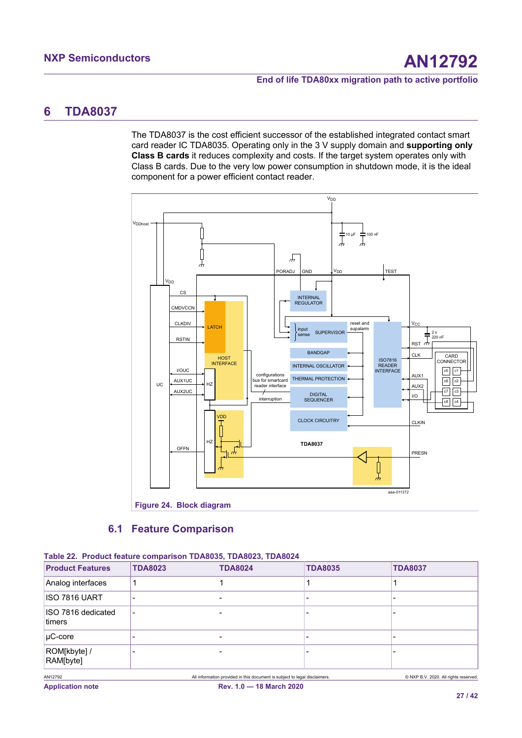# <span id="page-26-3"></span><span id="page-26-0"></span>**6 TDA8037**

The TDA8037 is the cost efficient successor of the established integrated contact smart card reader IC TDA8035. Operating only in the 3 V supply domain and **supporting only Class B cards** it reduces complexity and costs. If the target system operates only with Class B cards. Due to the very low power consumption in shutdown mode, it is the ideal component for a power efficient contact reader.

<span id="page-26-2"></span>

# <span id="page-26-4"></span>**Figure 24. Block diagram**

# <span id="page-26-1"></span>**6.1 Feature Comparison**

|                              | Table 22. Product feature comparison TDA8035, TDA8023, TDA8024 |                                                                            |                |                                       |
|------------------------------|----------------------------------------------------------------|----------------------------------------------------------------------------|----------------|---------------------------------------|
| <b>Product Features</b>      | <b>TDA8023</b>                                                 | <b>TDA8024</b>                                                             | <b>TDA8035</b> | <b>TDA8037</b>                        |
| Analog interfaces            |                                                                |                                                                            |                |                                       |
| IISO 7816 UART               |                                                                |                                                                            |                | -                                     |
| ISO 7816 dedicated<br>timers |                                                                |                                                                            |                |                                       |
| $ uC-core$                   |                                                                |                                                                            |                | ۰                                     |
| ROM[kbyte] /<br>RAM[byte]    |                                                                |                                                                            |                |                                       |
| AN12792                      |                                                                | All information provided in this document is subject to legal disclaimers. |                | © NXP B.V. 2020. All rights reserved. |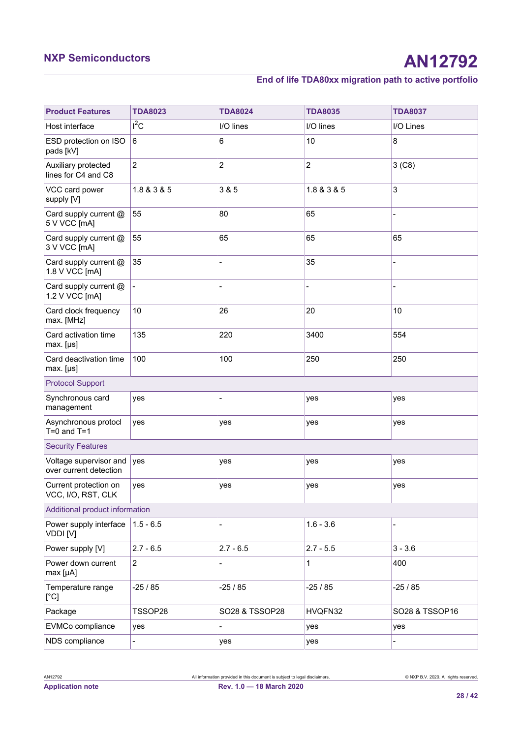# **NXP Semiconductors AN12792**

# **End of life TDA80xx migration path to active portfolio**

| <b>Product Features</b>                          | <b>TDA8023</b> | <b>TDA8024</b>           | <b>TDA8035</b> | <b>TDA8037</b>           |
|--------------------------------------------------|----------------|--------------------------|----------------|--------------------------|
| Host interface                                   | $I^2C$         | I/O lines                | I/O lines      | I/O Lines                |
| ESD protection on ISO<br>pads [kV]               | $\,6\,$        | 6                        | 10             | 8                        |
| Auxiliary protected<br>lines for C4 and C8       | $\overline{2}$ | $\overline{c}$           | $\overline{c}$ | 3(C8)                    |
| VCC card power<br>supply [V]                     | 1.8 & 3 & 5    | 3 & 5                    | 1.8 & 3 & 5    | $\sqrt{3}$               |
| Card supply current @<br>5 V VCC [mA]            | 55             | 80                       | 65             |                          |
| Card supply current @<br>3 V VCC [mA]            | 55             | 65                       | 65             | 65                       |
| Card supply current @<br>1.8 V VCC [mA]          | 35             | $\overline{a}$           | 35             | $\overline{\phantom{0}}$ |
| Card supply current @<br>1.2 V VCC [mA]          |                |                          |                |                          |
| Card clock frequency<br>max. [MHz]               | 10             | 26                       | 20             | 10                       |
| Card activation time<br>$max. [ \mu s ]$         | 135            | 220                      | 3400           | 554                      |
| Card deactivation time<br>max. [µs]              | 100            | 100                      | 250            | 250                      |
| <b>Protocol Support</b>                          |                |                          |                |                          |
| Synchronous card<br>management                   | yes            | $\overline{\phantom{0}}$ | yes            | yes                      |
| Asynchronous protocl<br>$T=0$ and $T=1$          | yes            | yes                      | yes            | yes                      |
| <b>Security Features</b>                         |                |                          |                |                          |
| Voltage supervisor and<br>over current detection | yes            | yes                      | yes            | yes                      |
| Current protection on<br>VCC, I/O, RST, CLK      | yes            | yes                      | yes            | yes                      |
| Additional product information                   |                |                          |                |                          |
| Power supply interface<br>VDDI [V]               | $1.5 - 6.5$    |                          | $1.6 - 3.6$    |                          |
| Power supply [V]                                 | $2.7 - 6.5$    | $2.7 - 6.5$              | $2.7 - 5.5$    | $3 - 3.6$                |
| Power down current<br>max [µA]                   | $\overline{2}$ |                          | 1              | 400                      |
| Temperature range<br>[°C]                        | $-25/85$       | $-25/85$                 | $-25/85$       | $-25/85$                 |
| Package                                          | TSSOP28        | SO28 & TSSOP28           | HVQFN32        | SO28 & TSSOP16           |
| EVMCo compliance                                 | yes            | $\overline{a}$           | yes            | yes                      |
| NDS compliance                                   |                | yes                      | yes            |                          |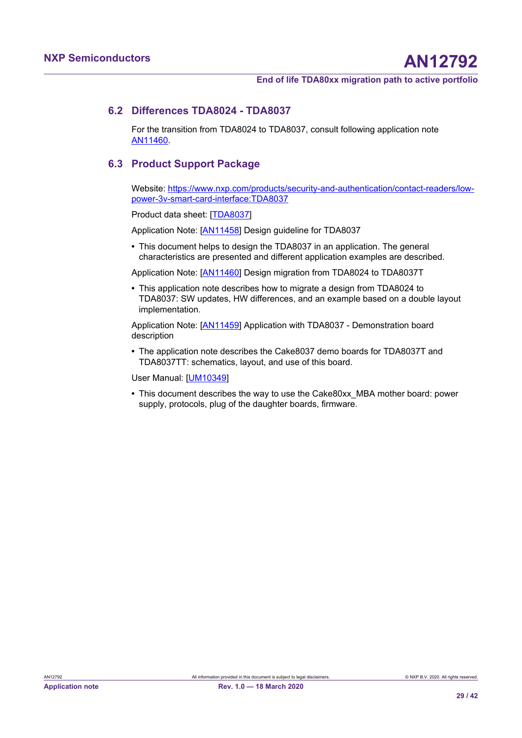## **6.2 Differences TDA8024 - TDA8037**

<span id="page-28-0"></span>For the transition from TDA8024 to TDA8037, consult following application note [AN11460.](#page-36-13)

# <span id="page-28-1"></span>**6.3 Product Support Package**

Website: [https://www.nxp.com/products/security-and-authentication/contact-readers/low](https://www.nxp.com/products/security-and-authentication/contact-readers/low-power-3v-smart-card-interface:TDA8037)[power-3v-smart-card-interface:TDA8037](https://www.nxp.com/products/security-and-authentication/contact-readers/low-power-3v-smart-card-interface:TDA8037)

Product data sheet: [\[TDA8037](#page-36-14)]

Application Note: [\[AN11458\]](#page-36-15) Design guideline for TDA8037

**•** This document helps to design the TDA8037 in an application. The general characteristics are presented and different application examples are described.

Application Note: [\[AN11460\]](#page-36-13) Design migration from TDA8024 to TDA8037T

**•** This application note describes how to migrate a design from TDA8024 to TDA8037: SW updates, HW differences, and an example based on a double layout implementation.

Application Note: [\[AN11459\]](#page-37-0) Application with TDA8037 - Demonstration board description

**•** The application note describes the Cake8037 demo boards for TDA8037T and TDA8037TT: schematics, layout, and use of this board.

User Manual: [[UM10349](#page-36-3)]

**•** This document describes the way to use the Cake80xx\_MBA mother board: power supply, protocols, plug of the daughter boards, firmware.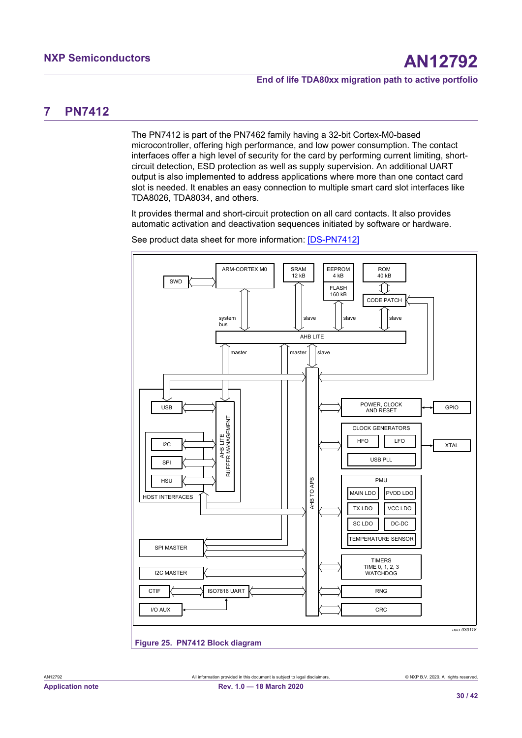# <span id="page-29-2"></span><span id="page-29-0"></span>**7 PN7412**

The PN7412 is part of the PN7462 family having a 32-bit Cortex-M0-based microcontroller, offering high performance, and low power consumption. The contact interfaces offer a high level of security for the card by performing current limiting, shortcircuit detection, ESD protection as well as supply supervision. An additional UART output is also implemented to address applications where more than one contact card slot is needed. It enables an easy connection to multiple smart card slot interfaces like TDA8026, TDA8034, and others.

It provides thermal and short-circuit protection on all card contacts. It also provides automatic activation and deactivation sequences initiated by software or hardware.

<span id="page-29-1"></span>

See product data sheet for more information: [\[DS-PN7412\]](#page-36-16)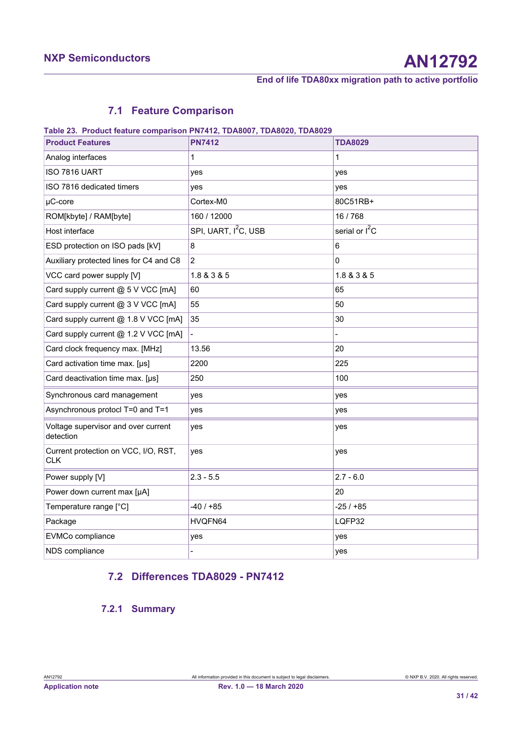# <span id="page-30-1"></span><span id="page-30-0"></span>**7.1 Feature Comparison**

#### **Table 23. Product feature comparison PN7412, TDA8007, TDA8020, TDA8029**

| <b>Product Features</b>                            | <b>PN7412</b>                    | <b>TDA8029</b>   |
|----------------------------------------------------|----------------------------------|------------------|
| Analog interfaces                                  | 1                                | 1                |
| ISO 7816 UART                                      | yes                              | yes              |
| ISO 7816 dedicated timers                          | yes                              | yes              |
| $\mu$ C-core                                       | Cortex-M0                        | 80C51RB+         |
| ROM[kbyte] / RAM[byte]                             | 160 / 12000                      | 16 / 768         |
| Host interface                                     | SPI, UART, I <sup>2</sup> C, USB | serial or $I^2C$ |
| ESD protection on ISO pads [kV]                    | 8                                | 6                |
| Auxiliary protected lines for C4 and C8            | $\overline{c}$                   | 0                |
| VCC card power supply [V]                          | 1.8 & 3 & 5                      | 1.8 & 3 & 5      |
| Card supply current @ 5 V VCC [mA]                 | 60                               | 65               |
| Card supply current @ 3 V VCC [mA]                 | 55                               | 50               |
| Card supply current @ 1.8 V VCC [mA]               | 35                               | 30               |
| Card supply current @ 1.2 V VCC [mA]               |                                  |                  |
| Card clock frequency max. [MHz]                    | 13.56                            | 20               |
| Card activation time max. [µs]                     | 2200                             | 225              |
| Card deactivation time max. [µs]                   | 250                              | 100              |
| Synchronous card management                        | yes                              | yes              |
| Asynchronous protocl T=0 and T=1                   | yes                              | yes              |
| Voltage supervisor and over current<br>detection   | yes                              | yes              |
| Current protection on VCC, I/O, RST,<br><b>CLK</b> | yes                              | yes              |
| Power supply [V]                                   | $2.3 - 5.5$                      | $2.7 - 6.0$      |
| Power down current max [µA]                        |                                  | 20               |
| Temperature range [°C]                             | $-40/+85$                        | $-25/ + 85$      |
| Package                                            | HVQFN64                          | LQFP32           |
| EVMCo compliance                                   | yes                              | yes              |
| NDS compliance                                     |                                  | yes              |

# <span id="page-30-2"></span>**7.2 Differences TDA8029 - PN7412**

# <span id="page-30-3"></span>**7.2.1 Summary**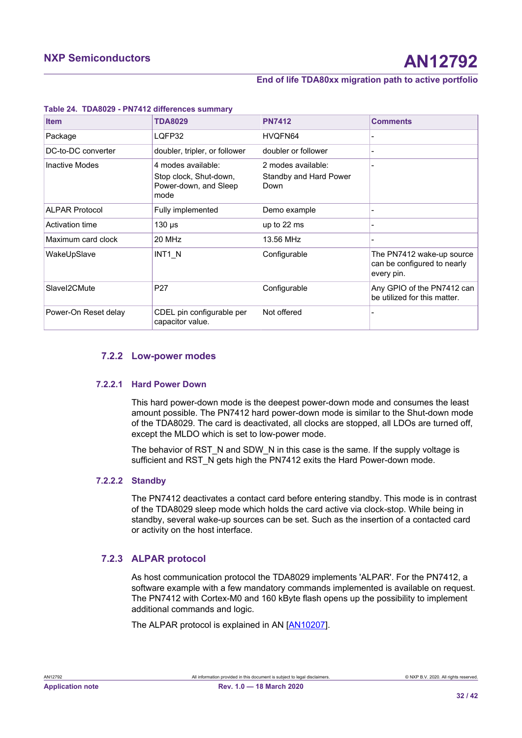| <b>Item</b>           | <b>TDA8029</b>                                                                | <b>PN7412</b>                                        | <b>Comments</b>                                                        |
|-----------------------|-------------------------------------------------------------------------------|------------------------------------------------------|------------------------------------------------------------------------|
| Package               | LQFP32                                                                        | HVQFN64                                              |                                                                        |
| DC-to-DC converter    | doubler, tripler, or follower                                                 | doubler or follower                                  |                                                                        |
| <b>Inactive Modes</b> | 4 modes available:<br>Stop clock, Shut-down,<br>Power-down, and Sleep<br>mode | 2 modes available:<br>Standby and Hard Power<br>Down |                                                                        |
| <b>ALPAR Protocol</b> | Fully implemented                                                             | Demo example                                         |                                                                        |
| Activation time       | $130 \mu s$                                                                   | up to 22 ms                                          |                                                                        |
| Maximum card clock    | 20 MHz                                                                        | 13.56 MHz                                            |                                                                        |
| WakeUpSlave           | INT1 N                                                                        | Configurable                                         | The PN7412 wake-up source<br>can be configured to nearly<br>every pin. |
| Slavel2CMute          | P <sub>27</sub>                                                               | Configurable                                         | Any GPIO of the PN7412 can<br>be utilized for this matter.             |
| Power-On Reset delay  | CDEL pin configurable per<br>capacitor value.                                 | Not offered                                          |                                                                        |

#### <span id="page-31-0"></span>**Table 24. TDA8029 - PN7412 differences summary**

## <span id="page-31-1"></span>**7.2.2 Low-power modes**

#### **7.2.2.1 Hard Power Down**

<span id="page-31-2"></span>This hard power-down mode is the deepest power-down mode and consumes the least amount possible. The PN7412 hard power-down mode is similar to the Shut-down mode of the TDA8029. The card is deactivated, all clocks are stopped, all LDOs are turned off, except the MLDO which is set to low-power mode.

The behavior of RST\_N and SDW\_N in this case is the same. If the supply voltage is sufficient and RST\_N gets high the PN7412 exits the Hard Power-down mode.

#### **7.2.2.2 Standby**

<span id="page-31-3"></span>The PN7412 deactivates a contact card before entering standby. This mode is in contrast of the TDA8029 sleep mode which holds the card active via clock-stop. While being in standby, several wake-up sources can be set. Such as the insertion of a contacted card or activity on the host interface.

### **7.2.3 ALPAR protocol**

<span id="page-31-4"></span>As host communication protocol the TDA8029 implements 'ALPAR'. For the PN7412, a software example with a few mandatory commands implemented is available on request. The PN7412 with Cortex-M0 and 160 kByte flash opens up the possibility to implement additional commands and logic.

The ALPAR protocol is explained in AN [\[AN10207](#page-36-17)].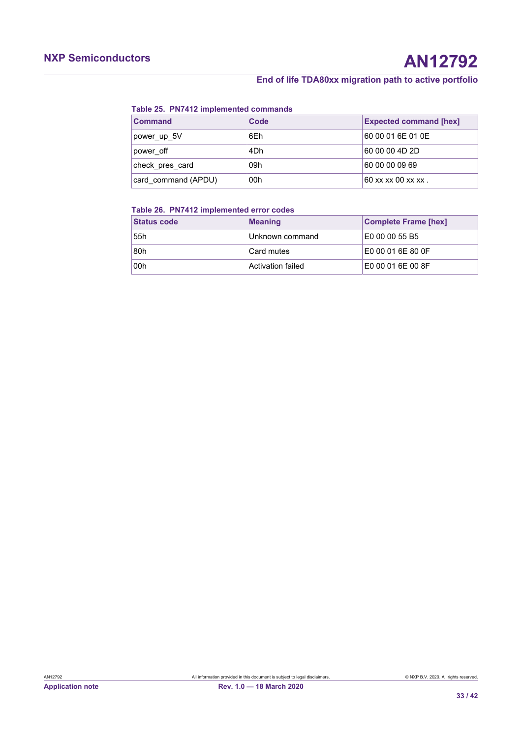#### <span id="page-32-0"></span>**Table 25. PN7412 implemented commands**

| <b>Command</b>      | Code | <b>Expected command [hex]</b> |
|---------------------|------|-------------------------------|
| power up 5V         | 6Eh  | 60 00 01 6E 01 0E             |
| power off           | 4Dh  | 60 00 00 4D 2D                |
| check pres card     | 09h  | 60 00 00 09 69                |
| card command (APDU) | 00h  | 60 xx xx 00 xx xx.            |

#### <span id="page-32-1"></span>**Table 26. PN7412 implemented error codes**

| <b>Status code</b> | <b>Meaning</b>           | <b>Complete Frame [hex]</b> |
|--------------------|--------------------------|-----------------------------|
| 55h                | Unknown command          | E0 00 00 55 B5              |
| 80h                | Card mutes               | E0 00 01 6E 80 0F           |
| 00h                | <b>Activation failed</b> | E0 00 01 6E 00 8F           |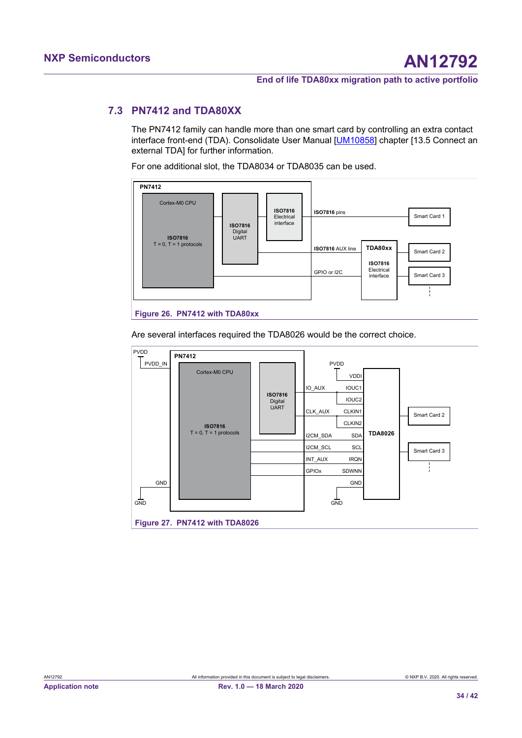# <span id="page-33-0"></span>**7.3 PN7412 and TDA80XX**

<span id="page-33-3"></span>The PN7412 family can handle more than one smart card by controlling an extra contact interface front-end (TDA). Consolidate User Manual [[UM10858](#page-36-18)] chapter [13.5 Connect an external TDA] for further information.

For one additional slot, the TDA8034 or TDA8035 can be used.

<span id="page-33-1"></span>

Are several interfaces required the TDA8026 would be the correct choice.

<span id="page-33-2"></span>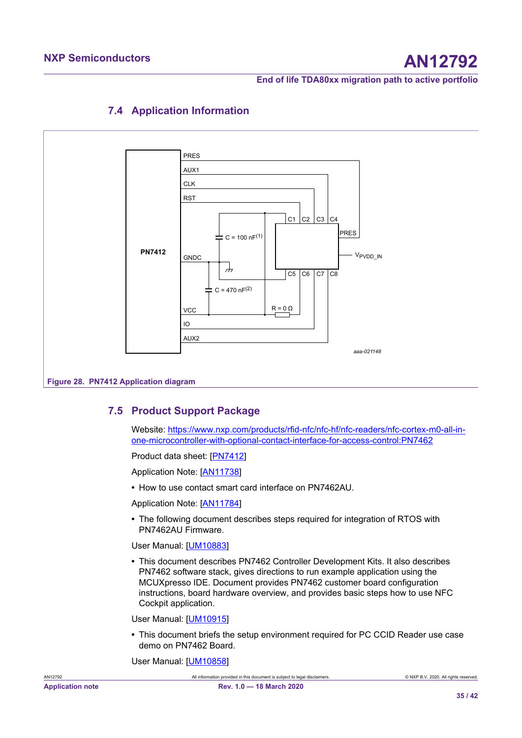

# <span id="page-34-1"></span><span id="page-34-0"></span>**7.4 Application Information**

# **7.5 Product Support Package**

<span id="page-34-2"></span>Website: [https://www.nxp.com/products/rfid-nfc/nfc-hf/nfc-readers/nfc-cortex-m0-all-in](https://www.nxp.com/products/rfid-nfc/nfc-hf/nfc-readers/nfc-cortex-m0-all-in-one-microcontroller-with-optional-contact-interface-for-access-control:PN7462)[one-microcontroller-with-optional-contact-interface-for-access-control:PN7462](https://www.nxp.com/products/rfid-nfc/nfc-hf/nfc-readers/nfc-cortex-m0-all-in-one-microcontroller-with-optional-contact-interface-for-access-control:PN7462)

Product data sheet: [\[PN7412](#page-36-16)]

Application Note: [\[AN11738\]](#page-36-19)

**•** How to use contact smart card interface on PN7462AU.

Application Note: [\[AN11784\]](#page-36-20)

**•** The following document describes steps required for integration of RTOS with PN7462AU Firmware.

User Manual: [[UM10883](#page-36-21)]

**•** This document describes PN7462 Controller Development Kits. It also describes PN7462 software stack, gives directions to run example application using the MCUXpresso IDE. Document provides PN7462 customer board configuration instructions, board hardware overview, and provides basic steps how to use NFC Cockpit application.

User Manual: [[UM10915](#page-36-22)]

**•** This document briefs the setup environment required for PC CCID Reader use case demo on PN7462 Board.

User Manual: [[UM10858](#page-36-18)]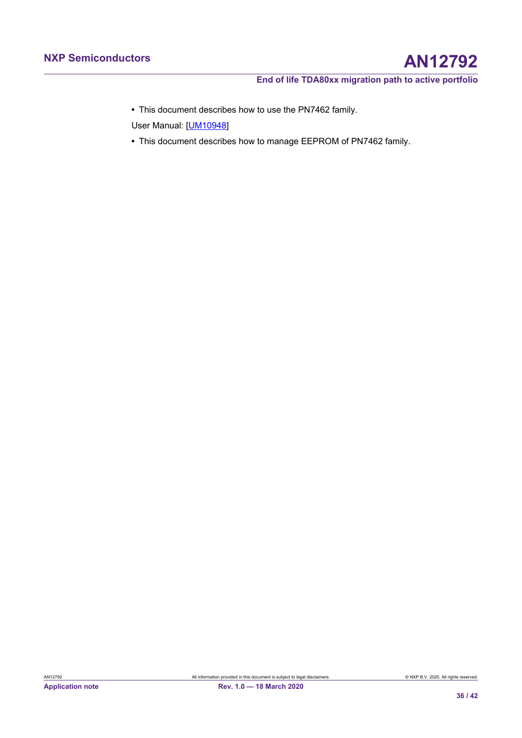**•** This document describes how to use the PN7462 family.

User Manual: [[UM10948](#page-36-23)]

**•** This document describes how to manage EEPROM of PN7462 family.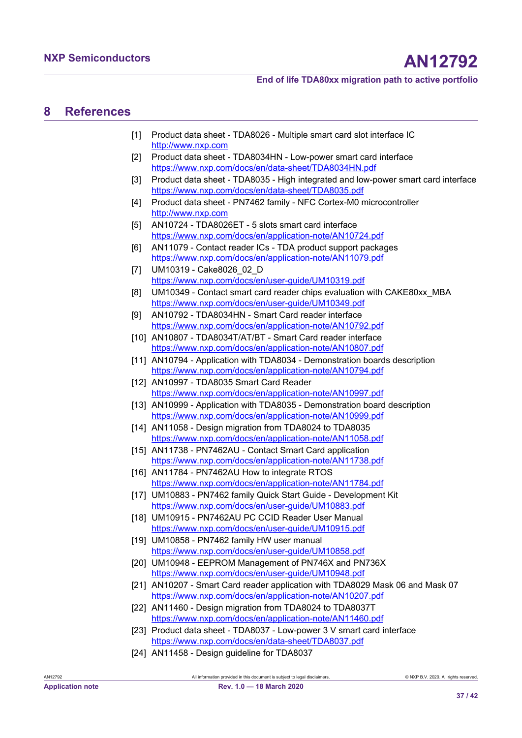# <span id="page-36-24"></span>**8 References**

- <span id="page-36-0"></span>[1] Product data sheet - TDA8026 - Multiple smart card slot interface IC <http://www.nxp.com>
- <span id="page-36-5"></span>[2] Product data sheet - TDA8034HN - Low-power smart card interface <https://www.nxp.com/docs/en/data-sheet/TDA8034HN.pdf>
- <span id="page-36-9"></span>[3] Product data sheet - TDA8035 - High integrated and low-power smart card interface <https://www.nxp.com/docs/en/data-sheet/TDA8035.pdf>
- <span id="page-36-16"></span>[4] Product data sheet - PN7462 family - NFC Cortex-M0 microcontroller <http://www.nxp.com>
- <span id="page-36-1"></span>[5] AN10724 - TDA8026ET - 5 slots smart card interface <https://www.nxp.com/docs/en/application-note/AN10724.pdf>
- <span id="page-36-4"></span>[6] AN11079 - Contact reader ICs - TDA product support packages <https://www.nxp.com/docs/en/application-note/AN11079.pdf>
- <span id="page-36-2"></span>[7] UM10319 - Cake8026\_02\_D <https://www.nxp.com/docs/en/user-guide/UM10319.pdf>
- <span id="page-36-3"></span>[8] UM10349 - Contact smart card reader chips evaluation with CAKE80xx\_MBA <https://www.nxp.com/docs/en/user-guide/UM10349.pdf>
- <span id="page-36-6"></span>[9] AN10792 - TDA8034HN - Smart Card reader interface <https://www.nxp.com/docs/en/application-note/AN10792.pdf>
- <span id="page-36-7"></span>[10] AN10807 - TDA8034T/AT/BT - Smart Card reader interface <https://www.nxp.com/docs/en/application-note/AN10807.pdf>
- <span id="page-36-8"></span>[11] AN10794 - Application with TDA8034 - Demonstration boards description <https://www.nxp.com/docs/en/application-note/AN10794.pdf>
- <span id="page-36-11"></span>[12] AN10997 - TDA8035 Smart Card Reader <https://www.nxp.com/docs/en/application-note/AN10997.pdf>
- <span id="page-36-12"></span>[13] AN10999 - Application with TDA8035 - Demonstration board description <https://www.nxp.com/docs/en/application-note/AN10999.pdf>
- <span id="page-36-10"></span>[14] AN11058 - Design migration from TDA8024 to TDA8035 <https://www.nxp.com/docs/en/application-note/AN11058.pdf>
- <span id="page-36-19"></span>[15] AN11738 - PN7462AU - Contact Smart Card application <https://www.nxp.com/docs/en/application-note/AN11738.pdf>
- <span id="page-36-20"></span>[16] AN11784 - PN7462AU How to integrate RTOS <https://www.nxp.com/docs/en/application-note/AN11784.pdf>
- <span id="page-36-21"></span>[17] UM10883 - PN7462 family Quick Start Guide - Development Kit <https://www.nxp.com/docs/en/user-guide/UM10883.pdf>
- <span id="page-36-22"></span>[18] UM10915 - PN7462AU PC CCID Reader User Manual <https://www.nxp.com/docs/en/user-guide/UM10915.pdf>
- <span id="page-36-18"></span>[19] UM10858 - PN7462 family HW user manual <https://www.nxp.com/docs/en/user-guide/UM10858.pdf>
- <span id="page-36-23"></span>[20] UM10948 - EEPROM Management of PN746X and PN736X <https://www.nxp.com/docs/en/user-guide/UM10948.pdf>
- <span id="page-36-17"></span>[21] AN10207 - Smart Card reader application with TDA8029 Mask 06 and Mask 07 <https://www.nxp.com/docs/en/application-note/AN10207.pdf>
- <span id="page-36-13"></span>[22] AN11460 - Design migration from TDA8024 to TDA8037T <https://www.nxp.com/docs/en/application-note/AN11460.pdf>
- <span id="page-36-14"></span>[23] Product data sheet - TDA8037 - Low-power 3 V smart card interface <https://www.nxp.com/docs/en/data-sheet/TDA8037.pdf>
- <span id="page-36-15"></span>[24] AN11458 - Design guideline for TDA8037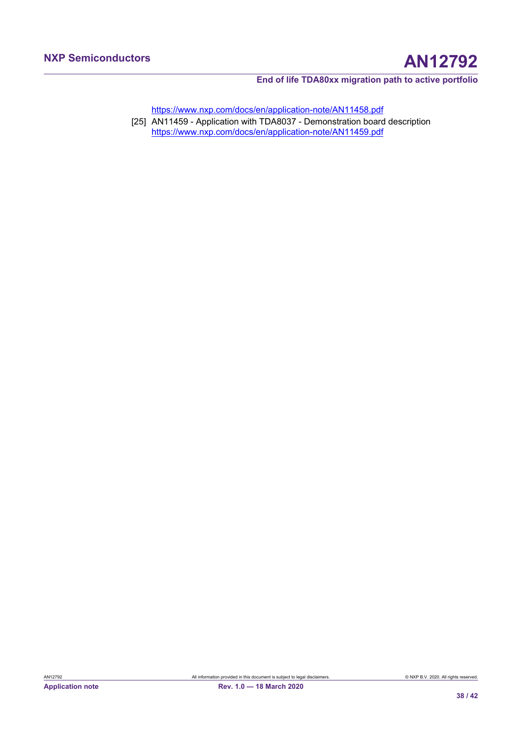<https://www.nxp.com/docs/en/application-note/AN11458.pdf>

<span id="page-37-0"></span>[25] AN11459 - Application with TDA8037 - Demonstration board description <https://www.nxp.com/docs/en/application-note/AN11459.pdf>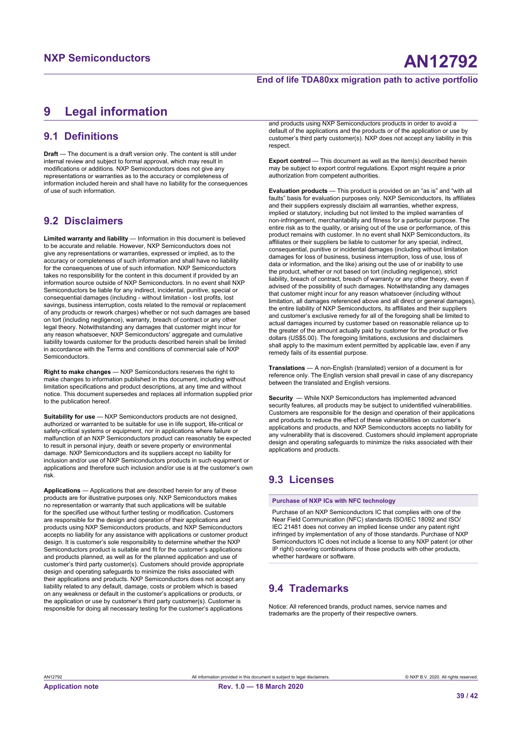# <span id="page-38-0"></span>**9 Legal information**

# **9.1 Definitions**

**Draft** — The document is a draft version only. The content is still under internal review and subject to formal approval, which may result in modifications or additions. NXP Semiconductors does not give any representations or warranties as to the accuracy or completeness of information included herein and shall have no liability for the consequences of use of such information.

# **9.2 Disclaimers**

**Limited warranty and liability** — Information in this document is believed to be accurate and reliable. However, NXP Semiconductors does not give any representations or warranties, expressed or implied, as to the accuracy or completeness of such information and shall have no liability for the consequences of use of such information. NXP Semiconductors takes no responsibility for the content in this document if provided by an information source outside of NXP Semiconductors. In no event shall NXP Semiconductors be liable for any indirect, incidental, punitive, special or consequential damages (including - without limitation - lost profits, lost savings, business interruption, costs related to the removal or replacement of any products or rework charges) whether or not such damages are based on tort (including negligence), warranty, breach of contract or any other legal theory. Notwithstanding any damages that customer might incur for any reason whatsoever, NXP Semiconductors' aggregate and cumulative liability towards customer for the products described herein shall be limited in accordance with the Terms and conditions of commercial sale of NXP **Semiconductors** 

**Right to make changes** — NXP Semiconductors reserves the right to make changes to information published in this document, including without limitation specifications and product descriptions, at any time and without notice. This document supersedes and replaces all information supplied prior to the publication hereof.

**Suitability for use** — NXP Semiconductors products are not designed, authorized or warranted to be suitable for use in life support, life-critical or safety-critical systems or equipment, nor in applications where failure or malfunction of an NXP Semiconductors product can reasonably be expected to result in personal injury, death or severe property or environmental damage. NXP Semiconductors and its suppliers accept no liability for inclusion and/or use of NXP Semiconductors products in such equipment or applications and therefore such inclusion and/or use is at the customer's own risk.

**Applications** — Applications that are described herein for any of these products are for illustrative purposes only. NXP Semiconductors makes no representation or warranty that such applications will be suitable for the specified use without further testing or modification. Customers are responsible for the design and operation of their applications and products using NXP Semiconductors products, and NXP Semiconductors accepts no liability for any assistance with applications or customer product design. It is customer's sole responsibility to determine whether the NXP Semiconductors product is suitable and fit for the customer's applications and products planned, as well as for the planned application and use of customer's third party customer(s). Customers should provide appropriate design and operating safeguards to minimize the risks associated with their applications and products. NXP Semiconductors does not accept any liability related to any default, damage, costs or problem which is based on any weakness or default in the customer's applications or products, or the application or use by customer's third party customer(s). Customer is responsible for doing all necessary testing for the customer's applications

and products using NXP Semiconductors products in order to avoid a default of the applications and the products or of the application or use by customer's third party customer(s). NXP does not accept any liability in this respect.

**Export control** — This document as well as the item(s) described herein may be subject to export control regulations. Export might require a prior authorization from competent authorities.

**Evaluation products** — This product is provided on an "as is" and "with all faults" basis for evaluation purposes only. NXP Semiconductors, its affiliates and their suppliers expressly disclaim all warranties, whether express, implied or statutory, including but not limited to the implied warranties of non-infringement, merchantability and fitness for a particular purpose. The entire risk as to the quality, or arising out of the use or performance, of this product remains with customer. In no event shall NXP Semiconductors, its affiliates or their suppliers be liable to customer for any special, indirect, consequential, punitive or incidental damages (including without limitation damages for loss of business, business interruption, loss of use, loss of data or information, and the like) arising out the use of or inability to use the product, whether or not based on tort (including negligence), strict liability, breach of contract, breach of warranty or any other theory, even if advised of the possibility of such damages. Notwithstanding any damages that customer might incur for any reason whatsoever (including without limitation, all damages referenced above and all direct or general damages), the entire liability of NXP Semiconductors, its affiliates and their suppliers and customer's exclusive remedy for all of the foregoing shall be limited to actual damages incurred by customer based on reasonable reliance up to the greater of the amount actually paid by customer for the product or five dollars (US\$5.00). The foregoing limitations, exclusions and disclaimers shall apply to the maximum extent permitted by applicable law, even if any remedy fails of its essential purpose.

**Translations** — A non-English (translated) version of a document is for reference only. The English version shall prevail in case of any discrepancy between the translated and English versions.

**Security** — While NXP Semiconductors has implemented advanced security features, all products may be subject to unidentified vulnerabilities. Customers are responsible for the design and operation of their applications and products to reduce the effect of these vulnerabilities on customer's applications and products, and NXP Semiconductors accepts no liability for any vulnerability that is discovered. Customers should implement appropriate design and operating safeguards to minimize the risks associated with their applications and products.

# **9.3 Licenses**

**Purchase of NXP ICs with NFC technology**

Purchase of an NXP Semiconductors IC that complies with one of the Near Field Communication (NFC) standards ISO/IEC 18092 and ISO/ IEC 21481 does not convey an implied license under any patent right infringed by implementation of any of those standards. Purchase of NXP Semiconductors IC does not include a license to any NXP patent (or other IP right) covering combinations of those products with other products, whether hardware or software.

# **9.4 Trademarks**

Notice: All referenced brands, product names, service names and trademarks are the property of their respective owners.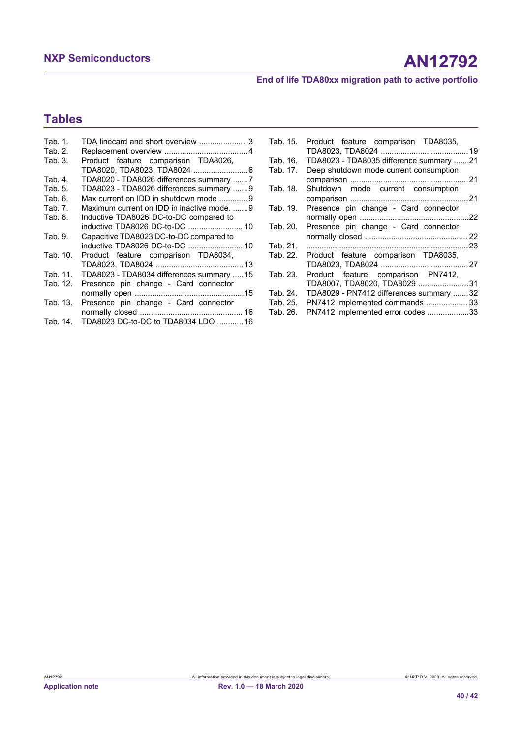# **Tables**

| Tab. 1.  | TDA linecard and short overview 3          |
|----------|--------------------------------------------|
| Tab. 2.  |                                            |
| Tab. 3.  | Product feature comparison TDA8026,        |
|          | TDA8020, TDA8023, TDA8024 6                |
| Tab. 4.  | TDA8020 - TDA8026 differences summary 7    |
| Tab. 5.  | TDA8023 - TDA8026 differences summary 9    |
| Tab. 6.  | Max current on IDD in shutdown mode 9      |
| Tab. 7.  | Maximum current on IDD in inactive mode. 9 |
| Tab. 8.  | Inductive TDA8026 DC-to-DC compared to     |
|          | inductive TDA8026 DC-to-DC  10             |
| Tab. 9.  | Capacitive TDA8023 DC-to-DC compared to    |
|          | inductive TDA8026 DC-to-DC  10             |
| Tab. 10. | Product feature comparison TDA8034,        |
|          |                                            |
| Tab. 11. | TDA8023 - TDA8034 differences summary  15  |
| Tab. 12. | Presence pin change - Card connector       |
|          |                                            |
| Tab. 13. | Presence pin change - Card connector       |
|          |                                            |
| Tab. 14. | TDA8023 DC-to-DC to TDA8034 LDO  16        |

| Tab. 15. | Product feature comparison TDA8035,     |  |
|----------|-----------------------------------------|--|
| Tab. 16. | TDA8023 - TDA8035 difference summary 21 |  |
| Tab. 17. | Deep shutdown mode current consumption  |  |
|          |                                         |  |
| Tab. 18. | Shutdown mode current consumption       |  |
|          |                                         |  |
| Tab. 19. | Presence pin change - Card connector    |  |
|          |                                         |  |
| Tab. 20. | Presence pin change - Card connector    |  |
|          |                                         |  |
| Tab. 21. |                                         |  |
| Tab. 22. | Product feature comparison TDA8035,     |  |
|          |                                         |  |
| Tab. 23. | Product feature comparison PN7412,      |  |
|          | TDA8007, TDA8020, TDA8029 31            |  |
| Tab. 24. | TDA8029 - PN7412 differences summary 32 |  |
| Tab. 25. | PN7412 implemented commands  33         |  |
| Tab. 26. | PN7412 implemented error codes 33       |  |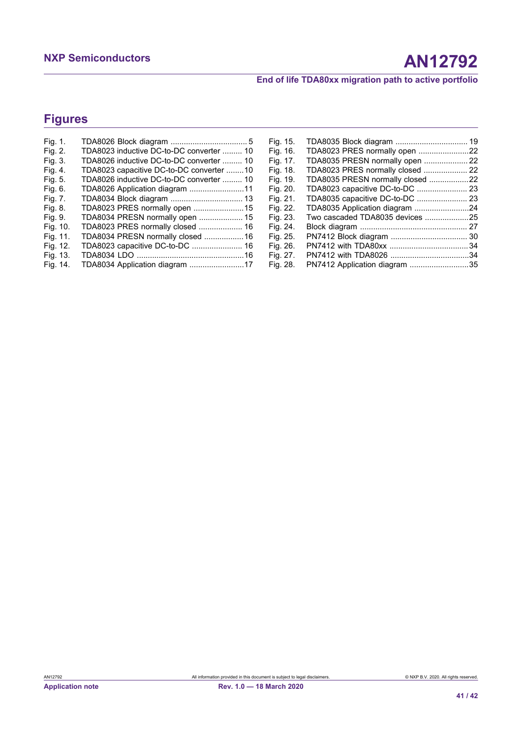# **Figures**

| Fig. 1.  |                                          | Fig. 15. |                                  |  |
|----------|------------------------------------------|----------|----------------------------------|--|
| Fig. 2.  | TDA8023 inductive DC-to-DC converter  10 | Fig. 16. | TDA8023 PRES normally open 22    |  |
| Fig. 3.  | TDA8026 inductive DC-to-DC converter  10 | Fig. 17. | TDA8035 PRESN normally open  22  |  |
| Fig. 4.  | TDA8023 capacitive DC-to-DC converter 10 | Fig. 18. | TDA8023 PRES normally closed  22 |  |
| Fig. 5.  | TDA8026 inductive DC-to-DC converter  10 | Fig. 19. | TDA8035 PRESN normally closed 22 |  |
| Fig. 6.  |                                          | Fig. 20. |                                  |  |
| Fig. 7.  |                                          | Fig. 21. |                                  |  |
| Fig. 8.  | TDA8023 PRES normally open 15            | Fig. 22. | TDA8035 Application diagram 24   |  |
| Fig. 9.  | TDA8034 PRESN normally open  15          | Fig. 23. |                                  |  |
| Fig. 10. |                                          | Fig. 24. |                                  |  |
| Fig. 11. | TDA8034 PRESN normally closed 16         | Fig. 25. |                                  |  |
| Fig. 12. |                                          | Fig. 26. |                                  |  |
| Fig. 13. |                                          | Fig. 27. |                                  |  |
| Fig. 14. | TDA8034 Application diagram 17           | Fig. 28. | PN7412 Application diagram 35    |  |